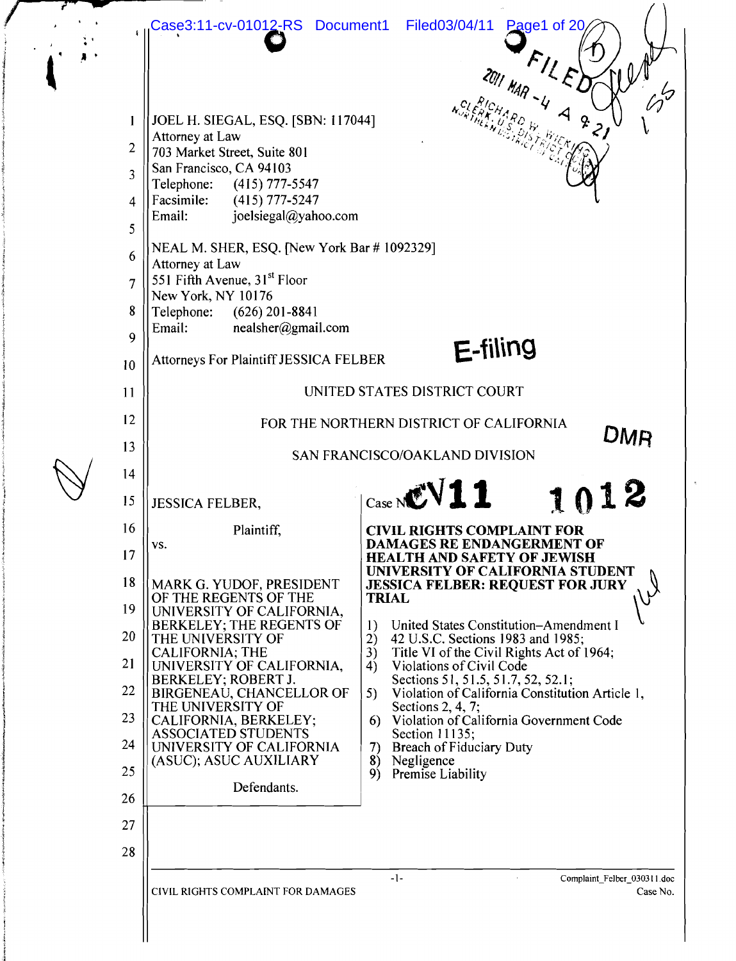|                |                                                                                         | ZOII HAR - 4                                                                               |  |  |  |  |
|----------------|-----------------------------------------------------------------------------------------|--------------------------------------------------------------------------------------------|--|--|--|--|
|                | JOEL H. SIEGAL, ESQ. [SBN: 117044]                                                      |                                                                                            |  |  |  |  |
| $\overline{2}$ | Attorney at Law<br>703 Market Street, Suite 801                                         |                                                                                            |  |  |  |  |
| 3              | San Francisco, CA 94103<br>$(415)$ 777-5547<br>Telephone:                               |                                                                                            |  |  |  |  |
| 4              | Facsimile:<br>$(415)$ 777-5247                                                          |                                                                                            |  |  |  |  |
| 5              | joelsiegal@yahoo.com<br>Email:                                                          |                                                                                            |  |  |  |  |
| 6              | NEAL M. SHER, ESQ. [New York Bar # 1092329]<br>Attorney at Law                          |                                                                                            |  |  |  |  |
| $\overline{7}$ | 551 Fifth Avenue, 31 <sup>st</sup> Floor                                                |                                                                                            |  |  |  |  |
| 8              | New York, NY 10176<br>$(626)$ 201-8841<br>Telephone:                                    |                                                                                            |  |  |  |  |
| 9              | $nealsher(\partial \text{gmail.com})$<br>Email:                                         |                                                                                            |  |  |  |  |
| 10             | <b>Attorneys For Plaintiff JESSICA FELBER</b>                                           | <b>E-filing</b>                                                                            |  |  |  |  |
| 11             |                                                                                         | UNITED STATES DISTRICT COURT                                                               |  |  |  |  |
| 12             | FOR THE NORTHERN DISTRICT OF CALIFORNIA<br><b>DMR</b><br>SAN FRANCISCO/OAKLAND DIVISION |                                                                                            |  |  |  |  |
| 13             |                                                                                         |                                                                                            |  |  |  |  |
| 14             |                                                                                         |                                                                                            |  |  |  |  |
| 15             | <b>JESSICA FELBER,</b>                                                                  | Case NCV11<br>1012                                                                         |  |  |  |  |
| 16             | Plaintiff,<br>VS.                                                                       | <b>CIVIL RIGHTS COMPLAINT FOR</b><br>DAMAGES RE ENDANGERMENT OF                            |  |  |  |  |
| 17             |                                                                                         | <b>HEALTH AND SAFETY OF JEWISH</b><br>UNIVERSITY OF CALIFORNIA STUDENT                     |  |  |  |  |
| 18             | MARK G. YUDOF, PRESIDENT<br>OF THE REGENTS OF THE                                       | <b>JESSICA FELBER: REQUEST FOR JURY</b><br><b>TRIAL</b>                                    |  |  |  |  |
| 19             | UNIVERSITY OF CALIFORNIA,<br><b>BERKELEY; THE REGENTS OF</b>                            | United States Constitution–Amendment I<br>1)                                               |  |  |  |  |
| 20             | THE UNIVERSITY OF<br><b>CALIFORNIA; THE</b>                                             | 2)<br>42 U.S.C. Sections 1983 and 1985;<br>3)<br>Title VI of the Civil Rights Act of 1964; |  |  |  |  |
| 21             | UNIVERSITY OF CALIFORNIA,<br>BERKELEY; ROBERT J.                                        | Violations of Civil Code<br>4)<br>Sections 51, 51.5, 51.7, 52, 52.1;                       |  |  |  |  |
| 22             | BIRGENEAU, CHANCELLOR OF<br>THE UNIVERSITY OF                                           | Violation of California Constitution Article 1,<br>5)<br>Sections $2, 4, 7$ ;              |  |  |  |  |
| 23             | CALIFORNIA, BERKELEY;<br><b>ASSOCIATED STUDENTS</b>                                     | Violation of California Government Code<br>6)<br>Section 11135;                            |  |  |  |  |
| 24             | UNIVERSITY OF CALIFORNIA<br>(ASUC); ASUC AUXILIARY                                      | Breach of Fiduciary Duty<br>7)<br>8)<br>Negligence                                         |  |  |  |  |
| 25             | Defendants.                                                                             | 9)<br>Premise Liability                                                                    |  |  |  |  |
| 26             |                                                                                         |                                                                                            |  |  |  |  |
| 27             |                                                                                         |                                                                                            |  |  |  |  |
| 28             |                                                                                         |                                                                                            |  |  |  |  |
|                | CIVIL RIGHTS COMPLAINT FOR DAMAGES                                                      | $-1-$<br>Complaint_Felber_030311.doc<br>Case No.                                           |  |  |  |  |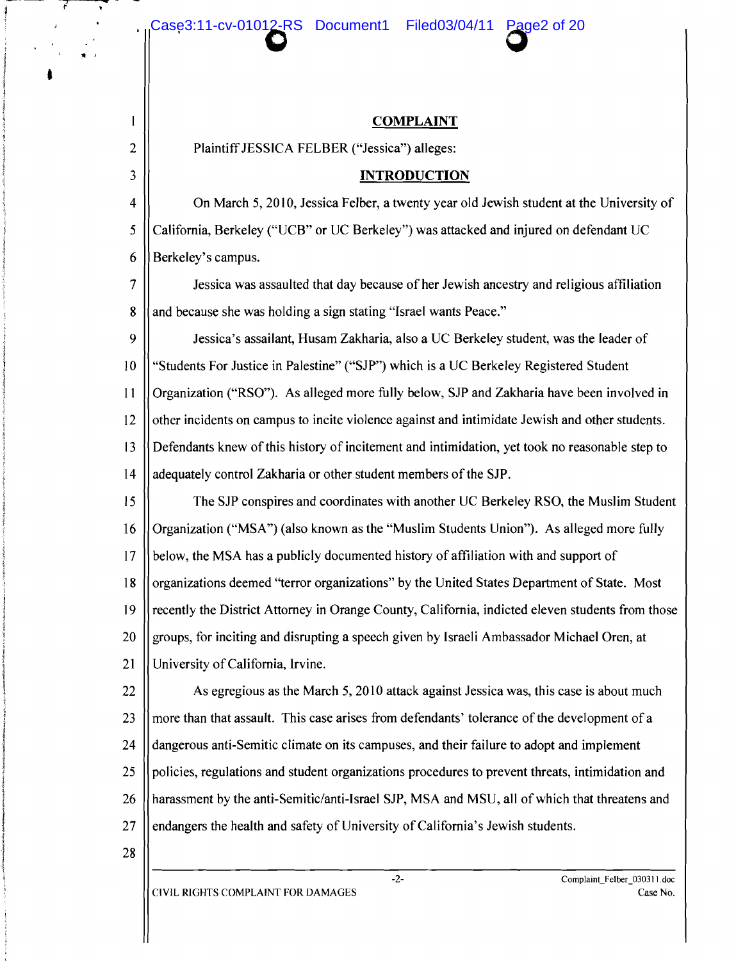$\mathbf{I}$ 

 $\overline{2}$ 

3



## **COMPLAINT**

Plaintiff JESSICA FELBER ("Jessica") alleges:

## **INTRODUCTION**

 $\overline{\mathbf{4}}$ On March 5,20 10, Jessica Felber, a twenty year old Jewish student at the University of 5 California, Berkeley ("UCB" or UC Berkeley") was attacked and injured on defendant UC Berkeley's campus. 6

 $\overline{7}$ Jessica was assaulted that day because of her Jewish ancestry and religious affiliation and because she was holding a sign stating "Israel wants Peace." 8

9 Jessica's assailant, Husam Zakharia, also a UC Berkeley student, was the leader of "Students For Justice in Palestine" ("SJP") which is a UC Berkeley Registered Student  $10$ Organization ("RSO"). As alleged more fully below, SJP and Zakharia have been involved in  $11$ other incidents on campus to incite violence against and intimidate Jewish and other students.  $12$ 13 Defendants knew of this history of incitement and intimidation, yet took no reasonable step to  $14$ adequately control Zakharia or other student members of the SJP.

15 The SJP conspires and coordinates with another UC Berkeley RSO, the Muslim Student 16 Organization ("MSA") (also known as the "Muslim Students Union"). As alleged more fully  $17$ below, the MSA has a publicly documented history of affiliation with and support of organizations deemed "terror organizations" by the United States Department of State. Most 18 19 recently the District Attorney in Orange County, California, indicted eleven students from those groups, for inciting and disrupting a speech given by Israeli Ambassador Michael Oren, at 20 21 University of California, Irvine.

22 As egregious as the March 5, 2010 attack against Jessica was, this case is about much more than that assault. This case arises from defendants' tolerance of the development of a 23 dangerous anti-Semitic climate on its campuses, and their failure to adopt and implement 24 25 policies, regulations and student organizations procedures to prevent threats, intimidation and 26 harassment by the anti-Semitic/anti-Israel SJP, MSA and MSU, all of which that threatens and 27 endangers the health and safety of University of California's Jewish students.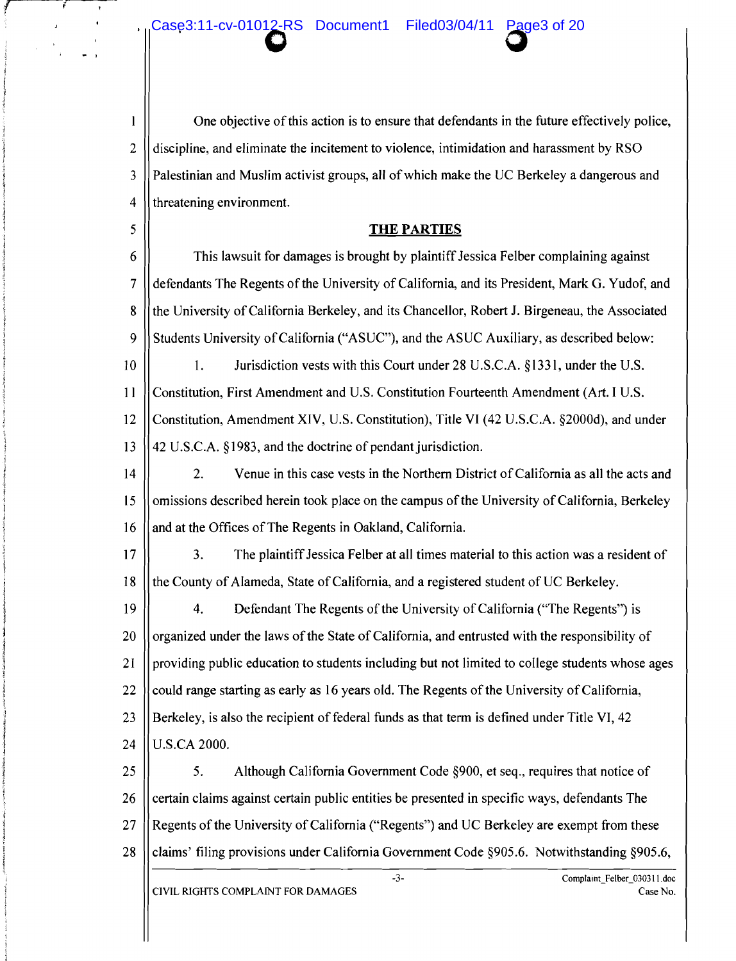5



## **THE PARTIES**

6 This lawsuit for damages is brought by plaintiff Jessica Felber complaining against  $\overline{7}$ defendants The Regents of the University of California, and its President, Mark G. Yudof, and 8 the University of California Berkeley, and its Chancellor, Robert J. Birgeneau, the Associated  $\mathbf Q$ Students University of California ("ASUC"), and the ASUC Auxiliary, as described below: 1. Jurisdiction vests with this Court under 28 U.S.C.A. §1331, under the U.S. 10  $11$ Constitution, First Amendment and U.S. Constitution Fourteenth Amendment (Art. I U.S. 12 Constitution, Amendment XIV, U.S. Constitution), Title VI (42 U.S.C.A. \$2000d), and under 13 42 U.S.C.A. \$ 1983, and the doctrine of pendant jurisdiction.

 $14$ 2. Venue in this case vests in the Northern District of California as all the acts and  $15$ omissions described herein took place on the campus of the University of California, Berkeley and at the Offices of The Regents in Oakland, California. 16

 $17$ 3. The plaintiff Jessica Felber at all times material to this action was a resident of the County of Alameda, State of California, and a registered student of UC Berkeley. 18

19 4. Defendant The Regents of the University of California ("The Regents") is 20 organized under the laws of the State of California, and entrusted with the responsibility of 21 providing public education to students including but not limited to college students whose ages could range starting as early as 16 years old. The Regents of the University of California, 22 23 Berkeley, is also the recipient of federal funds as that term is defined under Title VI, 42 U.S.CA 2000. 24

25 **5.** Although California Government Code \$900, et seq., requires that notice of 26 certain claims against certain public entities be presented in specific ways, defendants The 27 Regents of the University of California ("Regents") and UC Berkeley are exempt from these 28 claims' filing provisions under California Government Code \$905.6. Notwithstanding \$905.6,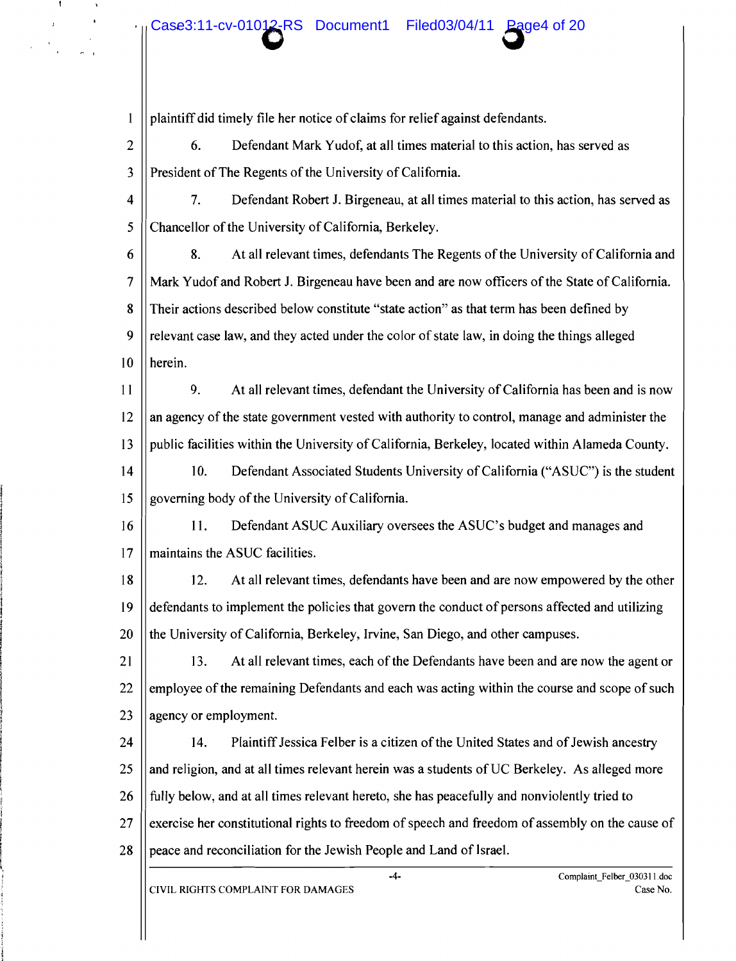#### Case3:11-cv-01012-RS Document1 Filed03/04/11 Page4 of 20

 $\mathbf{1}$ plaintiff did timely file her notice of claims for relief against defendants.

 $\mathfrak{D}$ 6. Defendant Mark Yudof, at all times material to this action, has served as 3 President of The Regents of the University of California.

 $\overline{\mathbf{A}}$ 7. Defendant Robert J. Birgeneau, at all times material to this action, has served as 5 Chancellor of the University of California, Berkeley.

6 **8.** At all relevant times, defendants The Regents of the University of California and  $\overline{7}$ Mark Yudof and Robert J. Birgeneau have been and are now officers of the State of California.  $\bf{8}$ Their actions described below constitute "state action" as that term has been defined by  $\mathbf Q$ relevant case law, and they acted under the color of state law, in doing the things alleged 10 herein.

9. At all relevant times, defendant the University of California has been and is now  $11$ an agency of the state government vested with authority to control, manage and administer the 12  $13$ public facilities within the University of California, Berkeley, located within Alameda County.

**10.** Defendant Associated Students University of California ("ASUC") is the student 14 governing body of the University of California. 15

**11.** Defendant ASUC Auxiliary oversees the ASUC's budget and manages and 16 maintains the ASUC facilities.  $17$ 

18 12. At all relevant times, defendants have been and are now empowered by the other 19 defendants to implement the policies that govern the conduct of persons affected and utilizing 20 the University of California, Berkeley, Irvine, San Diego, and other campuses.

 $21$ 13. At all relevant times, each of the Defendants have been and are now the agent or 22 employee of the remaining Defendants and each was acting within the course and scope of such 23 agency or employment.

24 **14.** Plaintiff Jessica Felber is a citizen of the United States and of Jewish ancestry 25 and religion, and at all times relevant herein was a students of UC Berkeley. As alleged more 26 filly below, and at all times relevant hereto, she has peacefully and nonviolently tried to 27 exercise her constitutional rights to freedom of speech and freedom of assembly on the cause of 28 peace and reconciliation for the Jewish People and Land of Israel.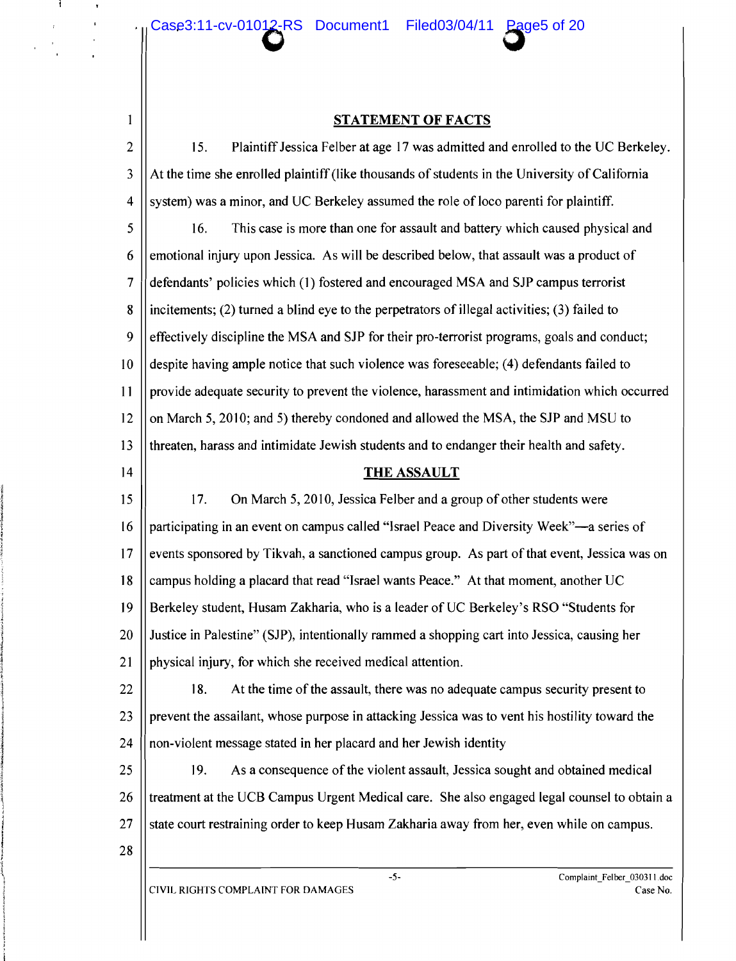$\mathbf{1}$ 



#### **STATEMENT OF FACTS**

 $\overline{2}$ 15. Plaintiff Jessica Felber at age 17 was admitted and enrolled to the UC Berkeley 3 At the time she enrolled plaintiff (like thousands of students in the University of California  $\overline{4}$ system) was a minor, and UC Berkeley assumed the role of loco parenti for plaintiff.  $\overline{\phantom{0}}$ 16. This case is more than one for assault and battery which caused physical and emotional injury upon Jessica. As will be described below, that assault was a product of 6  $\overline{7}$ defendants' policies which (1) fostered and encouraged MSA and SJP campus terrorist incitements; (2) turned a blind eye to the perpetrators of illegal activities; (3) failed to 8  $\boldsymbol{Q}$ effectively discipline the MSA and SJP for their pro-terrorist programs, goals and conduct;  $10$ despite having ample notice that such violence was foreseeable; (4) defendants failed to  $11$ provide adequate security to prevent the violence, harassment and intimidation which occurred  $12 \overline{)}$ on March 5, 2010; and 5) thereby condoned and allowed the MSA, the SJP and MSU to 13 threaten, harass and intimidate Jewish students and to endanger their health and safety.  $14$ **THE ASSAULT**  15 17. On March 5, 2010, Jessica Felber and a group of other students were participating in an event on campus called "Israel Peace and Diversity Week"—a series of  $16$  $17$ events sponsored by Tikvah, a sanctioned campus group. As part of that event, Jessica was on 18 campus holding a placard that read "Israel wants Peace." At that moment, another UC 19 Berkeley student, Husam Zakharia, who is a leader of UC Berkeley's RSO "Students for 20 Justice in Palestine" (SJP), intentionally rammed a shopping cart into Jessica, causing her 21 physical injury, for which she received medical attention. 18. At the time of the assault, there was no adequate campus security present to 22 23 prevent the assailant, whose purpose in attacking Jessica was to vent his hostility toward the 24 non-violent message stated in her placard and her Jewish identity

25 19. As a consequence of the violent assault, Jessica sought and obtained medical 26 treatment at the UCB Campus Urgent Medical care. She also engaged legal counsel to obtain a  $27$ state court restraining order to keep Husam Zakharia away from her, even while on campus.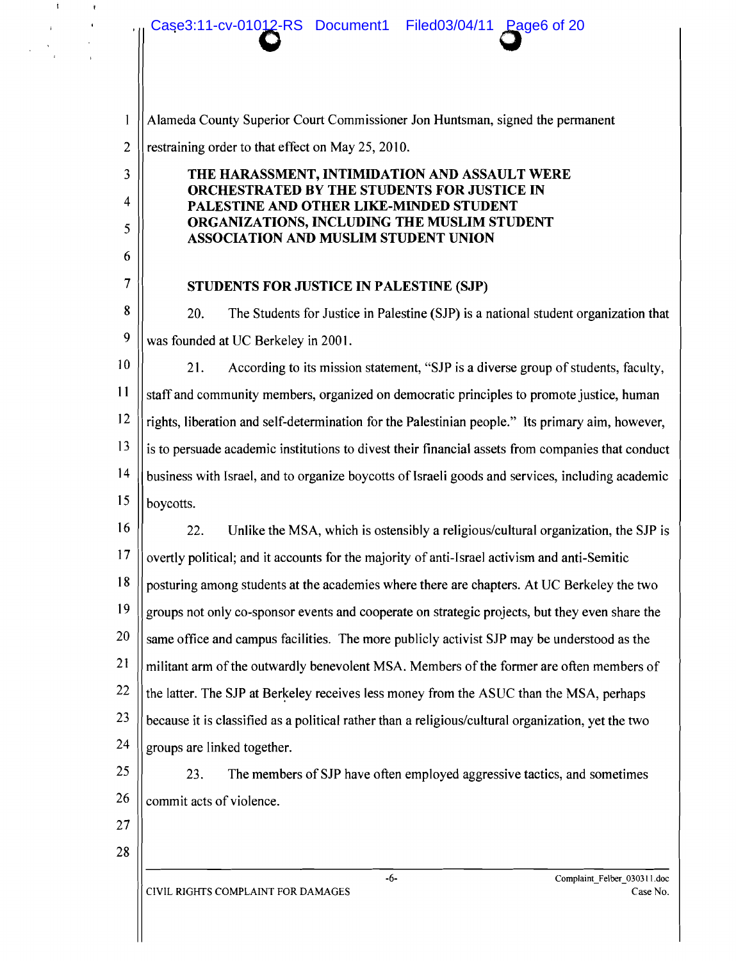$\mathbf{I}$ Alameda County Superior Court Commissioner Jon Huntsman, signed the permanent

 $\overline{2}$ restraining order to that effect on May 25, 2010.

> **THE HARASSMENT, INTIMIDATION AND ASSAULT WERE ORCHESTRATED BY THE STUDENTS FOR JUSTICE IN PALESTINE AND OTHER LIKE-MINDED STUDENT ORGANIZATIONS, INCLUDING THE MUSLIM STUDENT ASSOCIATION AND MUSLIM STUDENT UNION**

## **STUDENTS FOR JUSTICE IN PALESTINE (SJP)**

20. The Students for Justice in Palestine (SJP) is a national student organization that was founded at UC Berkeley in 2001.

10 21. According to its mission statement, "SJP is a diverse group of students, faculty, 11 staff and community members, organized on democratic principles to promote justice, human  $12$ rights, liberation and self-determination for the Palestinian people." Its primary aim, however, 13 is to persuade academic institutions to divest their financial assets from companies that conduct  $14$ business with Israel, and to organize boycotts of Israeli goods and services, including academic 15 boycotts.

16 22. Unlike the MSA, which is ostensibly a religious/cultural organization, the SJP is  $17$ overtly political; and it accounts for the majority of anti-Israel activism and anti-Semitic 18 posturing among students at the academies where there are chapters. At UC Berkeley the two 19 groups not only co-sponsor events and cooperate on strategic projects, but they even share the 20 same office and campus facilities. The more publicly activist SJP may be understood as the 21 militant arm of the outwardly benevolent MSA. Members of the former are often members of 22 the latter. The SJP at Berkeley receives less money from the ASUC than the MSA, perhaps 23 because it is classified as a political rather than a religious/cultural organization, yet the two 24 groups are linked together.

25 26

3

 $\overline{4}$ 

5

6

 $\overline{7}$ 

 $\overline{8}$ 

9

23. The members of SJP have often employed aggressive tactics, and sometimes commit acts of violence.

- 27
- 28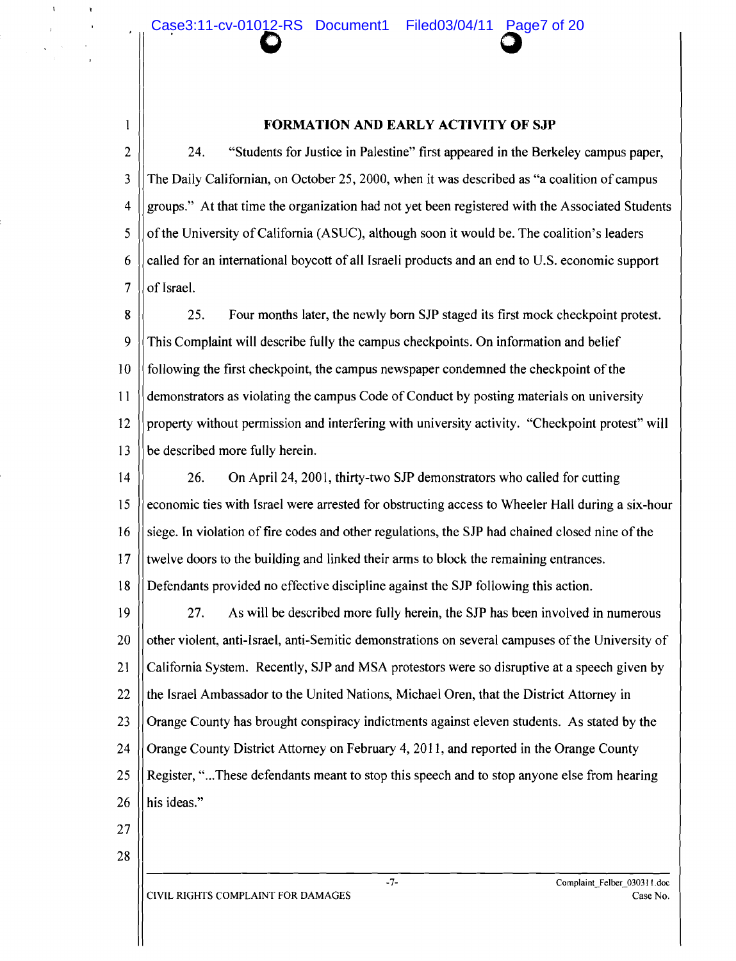#### **FORMATION AND EARLY ACTIVITY OF SJP**

 $\overline{2}$ 24. "Students for Justice in Palestine" first appeared in the Berkeley campus paper,  $\overline{\mathbf{3}}$ The Daily Californian, on October 25,2000, when it was described as "a coalition of campus  $\boldsymbol{\Delta}$ ;roups." At that time the organization had not yet been registered with the Associated Students 5 )f the University of California (ASUC), although soon it would be. The coalition's leaders :alled for an international boycott of all Israeli products and an end to U.S. economic support 6  $\overline{7}$ of Israel.

8 25. Four months later, the newly born SJP staged its first mock checkpoint protest.  $\bf{Q}$ rhis Complaint will describe fully the campus checkpoints. On information and belief  $10$ bllowing the first checkpoint, the campus newspaper condemned the checkpoint of the  $11$ demonstrators as violating the campus Code of Conduct by posting materials on university 12 property without permission and interfering with university activity. "Checkpoint protest" will  $13$ be described more fully herein.

 $14$ 26. On April 24,2001, thirty-two SJP demonstrators who called for cutting 15 economic ties with Israel were arrested for obstructing access to Wheeler Hall during a six-hour 16 siege. In violation of fire codes and other regulations, the SJP had chained closed nine of the  $17$ welve doors to the building and linked their arms to block the remaining entrances. 18 Defendants provided no effective discipline against the SJP following this action.

19 27. As will be described more fully herein, the SJP has been involved in numerous 20 )ther violent, anti-Israel, anti-Semitic demonstrations on several campuses of the University of 21 California System. Recently, SJP and MSA protestors were so disruptive at a speech given by 22 he Israel Ambassador to the United Nations, Michael Oren, that the District Attorney in 23 )range County has brought conspiracy indictments against eleven students. As stated by the 24 Orange County District Attorney on February 4, 2011, and reported in the Orange County 25 Register, "...These defendants meant to stop this speech and to stop anyone else from hearing 26 his ideas."

27

 $\mathbf{1}$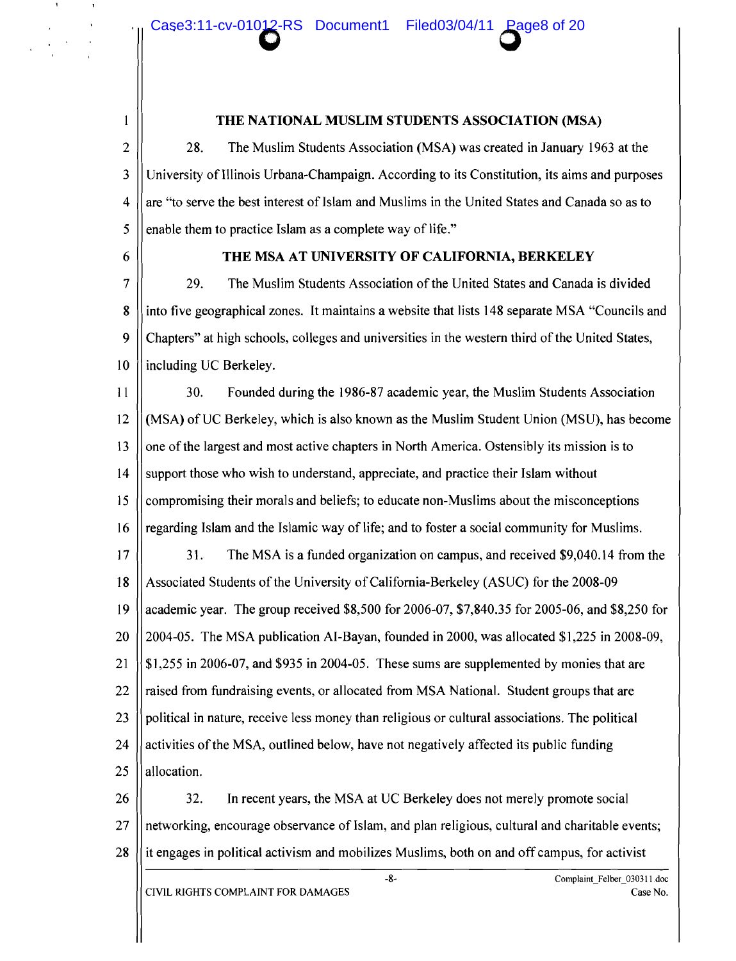

#### **THE NATIONAL MUSLIM STUDENTS ASSOCIATION (MSA)**

 $\overline{2}$ 28. The Muslim Students Association (MSA) was created in January 1963 at the 3 University of Illinois Urbana-Champaign. According to its Constitution, its aims and purposes are "to serve the best interest of Islam and Muslims in the United States and Canada so as to  $\overline{4}$ 5 enable them to practice Islam as a complete way of life."

6

 $\mathbf{1}$ 

#### **THE MSA AT UNIVERSITY OF CALIFORNIA, BERKELEY**

 $\overline{7}$ 29. The Muslim Students Association of the United States and Canada is divided 8 into five geographical zones. It maintains a website that lists 148 separate MSA "Councils and  $\mathbf{Q}$ Chapters" at high schools, colleges and universities in the western third of the United States, including UC Berkeley.  $10$ 

30. Founded during the 1986-87 academic year, the Muslim Students Association  $11$ 12 (MSA) of UC Berkeley, which is also known as the Muslim Student Union (MSU), has become 13 one of the largest and most active chapters in North America. Ostensibly its mission is to  $14$ support those who wish to understand, appreciate, and practice their Islam without 15 compromising their morals and beliefs; to educate non-Muslims about the misconceptions regarding Islam and the Islamic way of life; and to foster a social community for Muslims. 16  $17$ 3 1. The MSA is a funded organization on campus, and received \$9,040.14 from the 18 Associated Students of the University of California-Berkeley (ASUC) for the 2008-09 19 academic year. The group received \$8,500 for 2006-07, \$7,840.35 for 2005-06, and \$8,250 for 20 2004-05. The MSA publication AI-Bayan, founded in 2000, was allocated \$1,225 in 2008-09, 21 \$1,255 in 2006-07, and \$935 in 2004-05. These sums are supplemented by monies that are 22 raised from fundraising events, or allocated from MSA National. Student groups that are 23 political in nature, receive less money than religious or cultural associations. The political 24 activities of the MSA, outlined below, have not negatively affected its public funding 25 allocation.

26 32. In recent years, the MSA at UC Berkeley does not merely promote social 27 networking, encourage observance of Islam, and plan religious, cultural and charitable events; 28 it engages in political activism and mobilizes Muslims, both on and off campus, for activist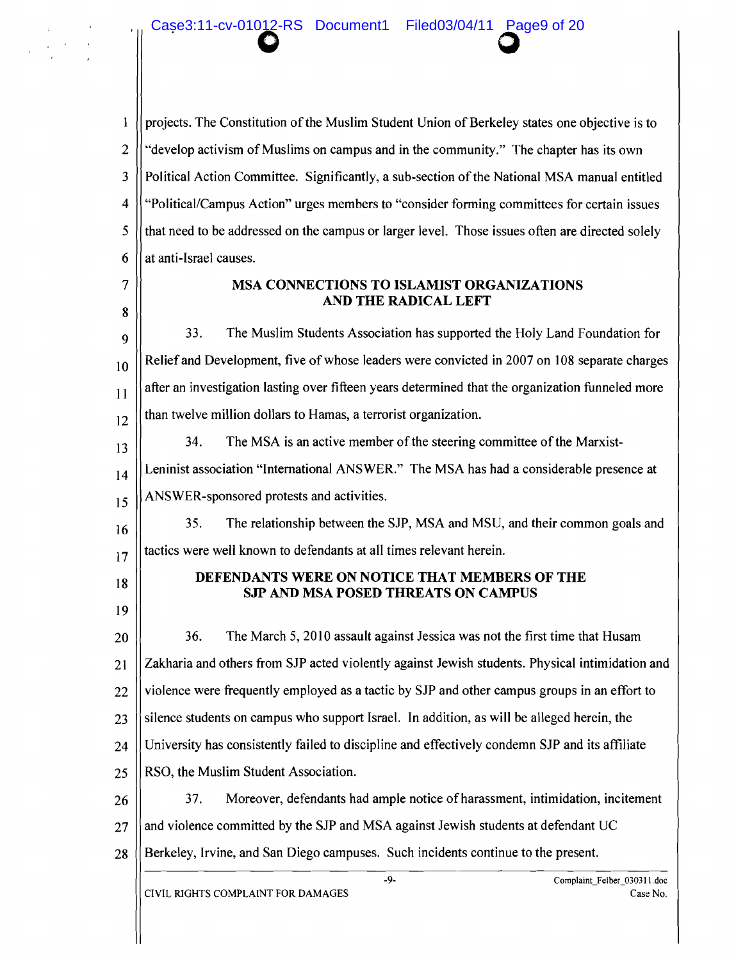$\mathbf{1}$ 

 $\overline{2}$ 

3

 $\overline{\mathbf{4}}$ 

5

6

 $\overline{7}$ 

8

 $\mathbf Q$ 

 $10$ 

 $11$ 

12

13

14

15

18

19



35. The relationship between the SJP, MSA and MSU, and their common goals and 16 tactics were well known to defendants at all times relevant herein.  $17$ 

## **DEFENDANTS WERE ON NOTICE THAT MEMBERS OF THE SJP AND MSA POSED THREATS ON CAMPUS**

36. The March 5,2010 assault against Jessica was not the first time that Husam 20 Zakharia and others from SJP acted violently against Jewish students. Physical intimidation and 21 22 violence were frequently employed as a tactic by SJP and other campus groups in an effort to silence students on campus who support Israel. In addition, as will be alleged herein, the 23 University has consistently failed to discipline and effectively condemn SJP and its affiliate 24 RSO, the Muslim Student Association. 25 37. Moreover, defendants had ample notice of harassment, intimidation, incitement 26 and violence committed by the SJP and MSA against Jewish students at defendant UC 27 Berkeley, Irvine, and San Diego campuses. Such incidents continue to the present. 28 **-9-**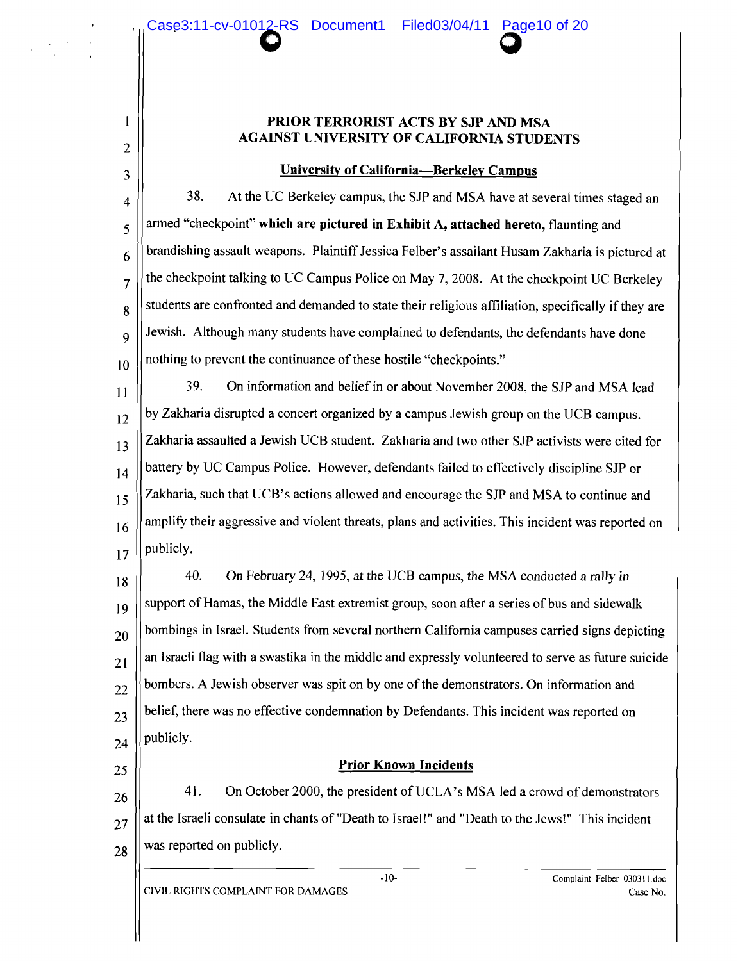$\mathbf{1}$ 

 $\overline{2}$ 

3

25

## **PRIOR TERRORIST ACTS BY SJP AND MSA AGAINST UNIVERSITY OF CALIFORNIA STUDENTS**

## **University of California-Berkeley Campus**

38. At the UC Berkeley campus, the SJP and MSA have at several times staged an  $\overline{4}$ armed "checkpoint" **which are pictured in Exhibit A, attached hereto,** flaunting and 5 brandishing assault weapons. Plaintiff Jessica Felber's assailant Husam Zakharia is pictured at 6 the checkpoint talking to UC Campus Police on May 7, 2008. At the checkpoint UC Berkeley  $\overline{7}$ students are confronted and demanded to state their religious affiliation, specifically if they are 8 Jewish. Although many students have complained to defendants, the defendants have done  $\mathbf Q$ nothing to prevent the continuance of these hostile "checkpoints."  $10$ 

39. On information and belief in or about November 2008, the SJP and MSA lead 11 by Zakharia disrupted a concert organized by a campus Jewish group on the UCB campus.  $12$ Zakharia assaulted a Jewish UCB student. Zakharia and two other SJP activists were cited for  $13$ battery by UC Campus Police. However, defendants failed to effectively discipline SJP or  $14$ Zakharia, such that UCB's actions allowed and encourage the SJP and MSA to continue and 15 amplify their aggressive and violent threats, plans and activities. This incident was reported on 16 publicly.  $17$ 

40. On February 24, 1995, at the UCB campus, the MSA conducted a rally in 18 support of Hamas, the Middle East extremist group, soon after a series of bus and sidewalk 19 bombings in Israel. Students from several northern California campuses carried signs depicting 20 an Israeli flag with a swastika in the middle and expressly volunteered to serve as future suicide  $21$ bombers. A Jewish observer was spit on by one of the demonstrators. On information and  $22$ belief, there was no effective condemnation by Defendants. This incident was reported on 23 publicly. 24

## **Prior Known Incidents**

4 1. On October 2000, the president of UCLA's MSA led a crowd of demonstrators 26 at the Israeli consulate in chants of "Death to Israel!" and "Death to the Jews!" This incident  $27$ was reported on publicly. 28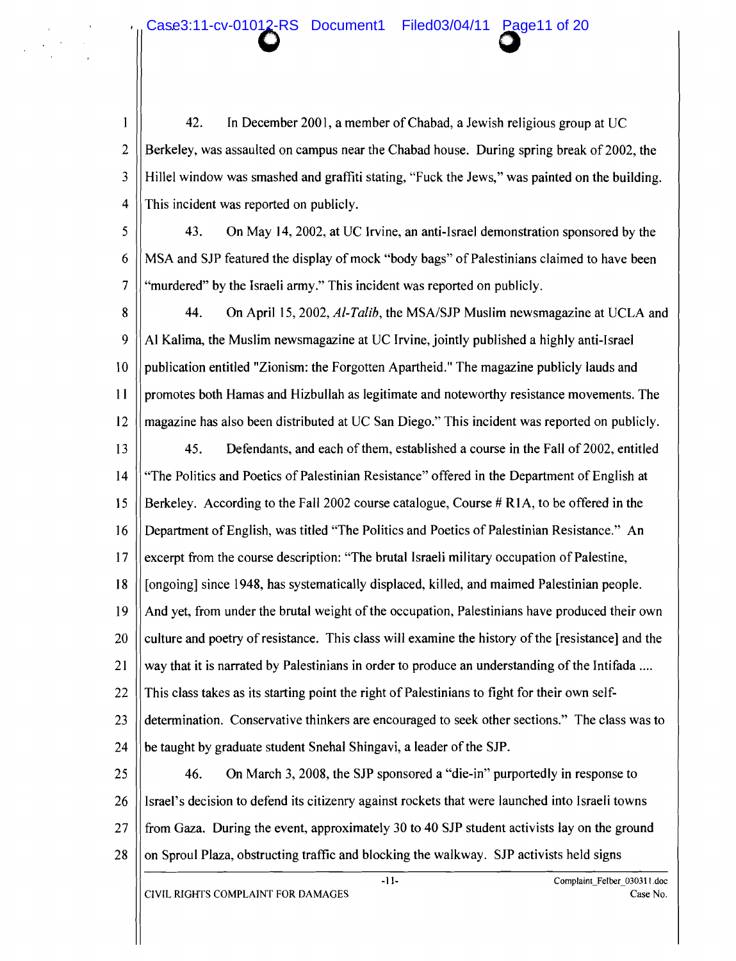$\mathbf{1}$ 42. In December 2001, a member of Chabad, a Jewish religious group at UC  $\overline{2}$ Berkeley, was assaulted on campus near the Chabad house. During spring break of 2002, the 3 4illel window was smashed and graffiti stating, "Fuck the Jews," was painted on the building. This incident was reported on publicly.  $\overline{\mathbf{4}}$ 

43. On May 14,2002, at UC Irvine, an anti-Israel demonstration sponsored by the 5 MSA and SJP featured the display of mock "body bags" of Palestinians claimed to have been 6  $\overline{7}$ 'murdered" by the Israeli army." This incident was reported on publicly.

8 44. On April 15, 2002, Al-Talib, the MSA/SJP Muslim newsmagazine at UCLA and 9 41 Kalima, the Muslim newsmagazine at UC Irvine, jointly published a highly anti-Israel publication entitled "Zionism: the Forgotten Apartheid." The magazine publicly lauds and  $10$  $11$ promotes both Hamas and Hizbullah as legitimate and noteworthy resistance movements. The nagazine has also been distributed at UC San Diego." This incident was reported on publicly. 12 45. Defendants, and each of them, established a course in the Fall of 2002, entitled 13 'The Politics and Poetics of Palestinian Resistance" offered in the Department of English at  $14$ Berkeley. According to the Fall 2002 course catalogue, Course  $\# R1A$ , to be offered in the 15 Department of English, was titled "The Politics and Poetics of Palestinian Resistance." An  $16$  $17$ excerpt from the course description: "The brutal Israeli military occupation of Palestine, [ongoing] since 1948, has systematically displaced, killed, and maimed Palestinian people. 18

19 4nd yet, from under the brutal weight of the occupation, Palestinians have produced their own 20 :ulture and poetry of resistance. This class will examine the history of the [resistance] and the

 $21$ way that it is narrated by Palestinians in order to produce an understanding of the Intifada ....

22 rhis class takes as its starting point the right of Palestinians to fight for their own self-

23 letermination. Conservative thinkers are encouraged to seek other sections." The class was to be taught by graduate student Snehal Shingavi, a leader of the SJP. 24

46. On March 3,2008, the SJP sponsored a "die-in" purportedly in response to 25 Israel's decision to defend its citizenry against rockets that were launched into Israeli towns 26 27 from Gaza. During the event, approximately 30 to 40 SJP student activists lay on the ground 28 on Sproul Plaza, obstructing traffic and blocking the walkway. SJP activists held signs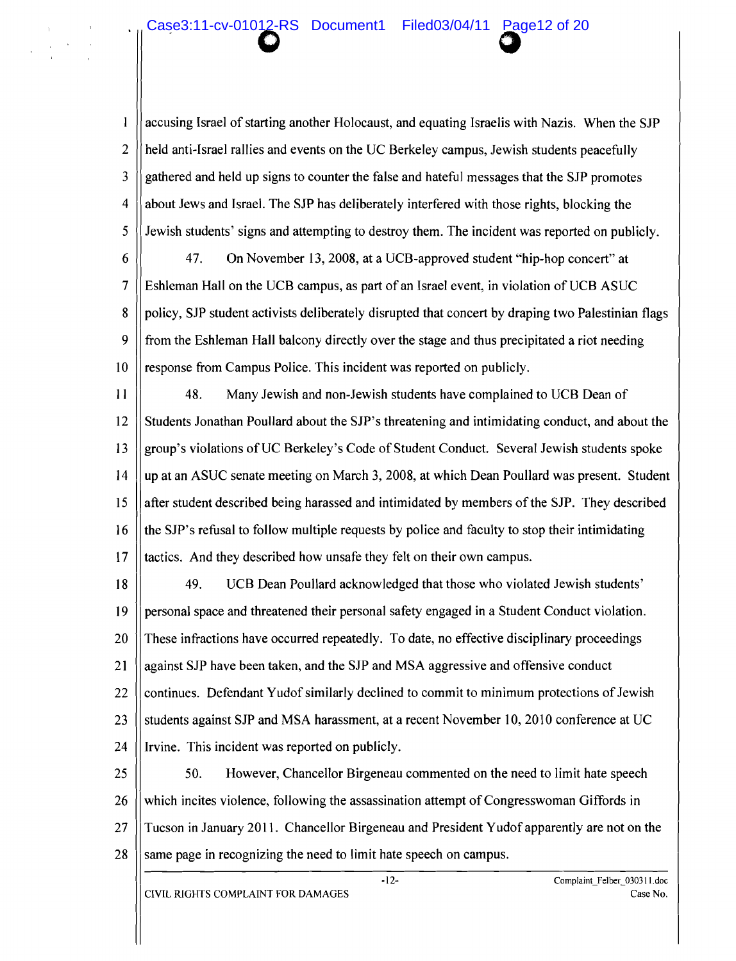

 $\mathbf{I}$ accusing Israel of starting another Holocaust, and equating Israelis with Nazis. When the SJP  $\overline{2}$ held anti-Israel rallies and events on the UC Berkeley campus, Jewish students peacefully 3 gathered and held up signs to counter the false and hateful messages that the SJP promotes  $\overline{\mathbf{4}}$ about Jews and Israel. The SJP has deliberately interfered with those rights, blocking the 5 Jewish students' signs and attempting to destroy them. The incident was reported on publicly. 6 47. On November 13,2008, at a UCB-approved student "hip-hop concert" at  $\overline{7}$ Eshleman Hall on the UCB campus, as part of an Israel event, in violation of UCB ASUC 8 policy, SJP student activists deliberately disrupted that concert by draping two Palestinian flags  $\mathbf Q$ from the Eshleman Hall balcony directly over the stage and thus precipitated a riot needing  $10$ response from Campus Police. This incident was reported on publicly. 48. Many Jewish and non-Jewish students have complained to UCB Dean of  $11$ Students Jonathan Poullard about the SJP's threatening and intimidating conduct, and about the 12 13 group's violations of UC Berkeley's Code of Student Conduct. Several Jewish students spoke up at an ASUC senate meeting on March 3,2008, at which Dean Poullard was present. Student  $14$ 15 after student described being harassed and intimidated by members of the SJP. They described  $16$ the SJP's refusal to follow multiple requests by police and faculty to stop their intimidating  $17$ tactics. And they described how unsafe they felt on their own campus. 18 **49.** UCB Dean Poullard acknowledged that those who violated Jewish students' 19 personal space and threatened their personal safety engaged in a Student Conduct violation. 20 These infractions have occurred repeatedly. To date, no effective disciplinary proceedings 21 against SJP have been taken, and the SJP and MSA aggressive and offensive conduct 22 zontinues. Defendant Yudof similarly declined to commit to minimum protections of Jewish 23 students against SJP and MSA harassment, at a recent November 10, 2010 conference at UC 24 Irvine. This incident was reported on publicly. 25 50. However, Chancellor Birgeneau commented on the need to limit hate speech 26 which incites violence, following the assassination attempt of Congresswoman Giffords in 27 Tucson in January 2011. Chancellor Birgeneau and President Yudof apparently are not on the

28 same page in recognizing the need to limit hate speech on campus.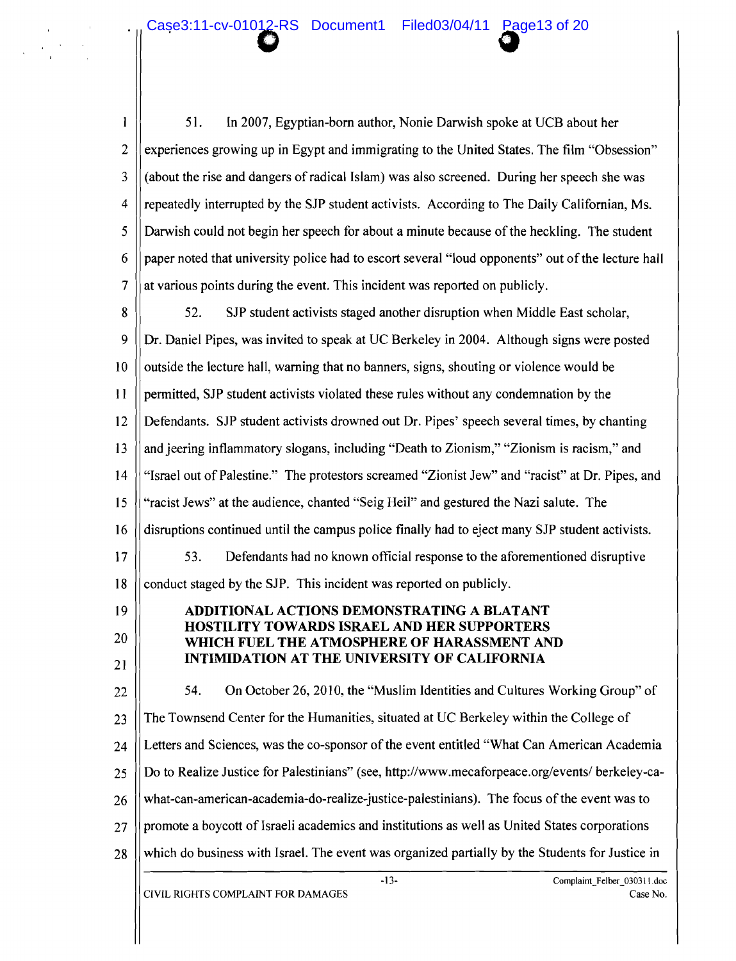

| $\mathbf{l}$            | In 2007, Egyptian-born author, Nonie Darwish spoke at UCB about her<br>51.                        |
|-------------------------|---------------------------------------------------------------------------------------------------|
| $\overline{2}$          | experiences growing up in Egypt and immigrating to the United States. The film "Obsession"        |
| 3                       | (about the rise and dangers of radical Islam) was also screened. During her speech she was        |
| $\overline{\mathbf{4}}$ | repeatedly interrupted by the SJP student activists. According to The Daily Californian, Ms.      |
| 5                       | Darwish could not begin her speech for about a minute because of the heckling. The student        |
| 6                       | paper noted that university police had to escort several "loud opponents" out of the lecture hall |
| 7                       | at various points during the event. This incident was reported on publicly.                       |
| 8                       | 52.<br>SJP student activists staged another disruption when Middle East scholar,                  |
| 9                       | Dr. Daniel Pipes, was invited to speak at UC Berkeley in 2004. Although signs were posted         |
| 10                      | outside the lecture hall, warning that no banners, signs, shouting or violence would be           |
| 11                      | permitted, SJP student activists violated these rules without any condemnation by the             |
| 12                      | Defendants. SJP student activists drowned out Dr. Pipes' speech several times, by chanting        |
| 13                      | and jeering inflammatory slogans, including "Death to Zionism," "Zionism is racism," and          |
| 14                      | "Israel out of Palestine." The protestors screamed "Zionist Jew" and "racist" at Dr. Pipes, and   |
| 15                      | "racist Jews" at the audience, chanted "Seig Heil" and gestured the Nazi salute. The              |
| 16                      | disruptions continued until the campus police finally had to eject many SJP student activists.    |
| 17                      | Defendants had no known official response to the aforementioned disruptive<br>53.                 |
| 18                      | conduct staged by the SJP. This incident was reported on publicly.                                |
| 19                      | ADDITIONAL ACTIONS DEMONSTRATING A BLATANT                                                        |
| $20\,$                  | <b>HOSTILITY TOWARDS ISRAEL AND HER SUPPORTERS</b><br>WHICH FUEL THE ATMOSPHERE OF HARASSMENT AND |
| 21                      | <b>INTIMIDATION AT THE UNIVERSITY OF CALIFORNIA</b>                                               |
| 22                      | On October 26, 2010, the "Muslim Identities and Cultures Working Group" of<br>54.                 |
| 23                      | The Townsend Center for the Humanities, situated at UC Berkeley within the College of             |
| 24                      | Letters and Sciences, was the co-sponsor of the event entitled "What Can American Academia"       |
| 25                      | Do to Realize Justice for Palestinians" (see, http://www.mecaforpeace.org/events/ berkeley-ca-    |
| 26                      | what-can-american-academia-do-realize-justice-palestinians). The focus of the event was to        |
| 27                      | promote a boycott of Israeli academics and institutions as well as United States corporations     |
| 28                      | which do business with Israel. The event was organized partially by the Students for Justice in   |
|                         | $-13-$<br>Complaint_Felber_030311.doc                                                             |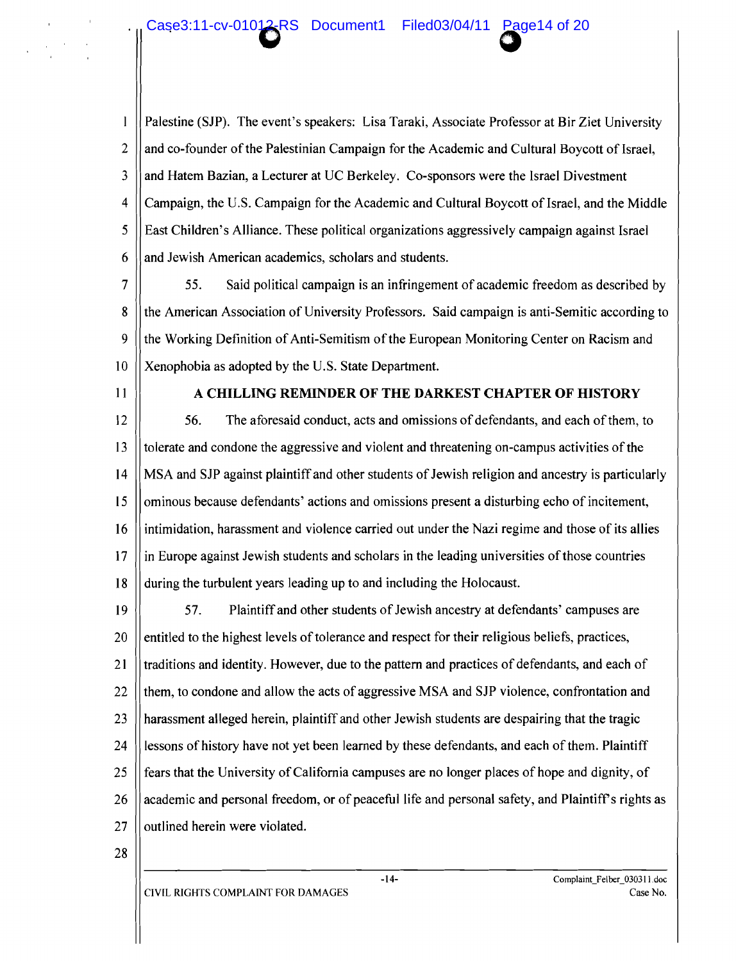

- **55.** Said political campaign is an infringement of academic freedom as described by  $\overline{7}$ 8 the American Association of University Professors. Said campaign is anti-Semitic according to  $\boldsymbol{q}$ the Working Definition of Anti-Semitism of the European Monitoring Center on Racism and  $10$ Xenophobia as adopted by the U.S. State Department.
- 11

#### **A CHILLING REMINDER OF THE DARKEST CHAPTER OF HISTORY**

 $12$ **56.** The aforesaid conduct, acts and omissions of defendants, and each of them, to 13 tolerate and condone the aggressive and violent and threatening on-campus activities of the  $14$ MSA and SJP against plaintiff and other students of Jewish religion and ancestry is particularly 15 ominous because defendants' actions and omissions present a disturbing echo of incitement, intimidation, harassment and violence carried out under the Nazi regime and those of its allies 16  $17$ in Europe against Jewish students and scholars in the leading universities of those countries 18 during the turbulent years leading up to and including the Holocaust.

19 **57.** Plaintiff and other students of Jewish ancestry at defendants' campuses are 20 entitled to the highest levels of tolerance and respect for their religious beliefs, practices,  $21$ traditions and identity. However, due to the pattern and practices of defendants, and each of 22 them, to condone and allow the acts of aggressive MSA and SJP violence, confrontation and 23 harassment alleged herein, plaintiff and other Jewish students are despairing that the tragic 24 lessons of history have not yet been learned by these defendants, and each of them. Plaintiff 25 fears that the University of California campuses are no longer places of hope and dignity, of academic and personal freedom, or of peaceful life and personal safety, and Plaintiffs rights as 26 27 outlined herein were violated.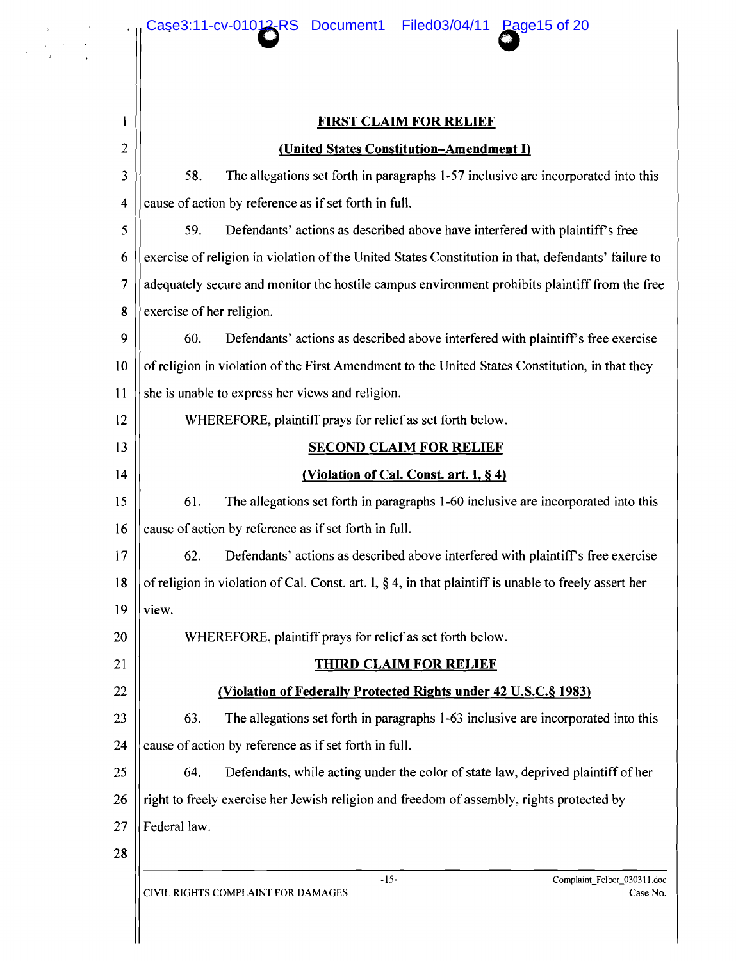|  | $\frac{1}{10}$ Case3:11-cv-01012-RS Document1 Filed03/04/11 Page15 of 20 |  |  |
|--|--------------------------------------------------------------------------|--|--|
|  |                                                                          |  |  |





| 1                       | <b>FIRST CLAIM FOR RELIEF</b>                                                                            |  |  |  |  |  |
|-------------------------|----------------------------------------------------------------------------------------------------------|--|--|--|--|--|
| $\overline{c}$          | (United States Constitution-Amendment I)                                                                 |  |  |  |  |  |
| 3                       | 58.<br>The allegations set forth in paragraphs 1-57 inclusive are incorporated into this                 |  |  |  |  |  |
| $\overline{\mathbf{4}}$ | cause of action by reference as if set forth in full.                                                    |  |  |  |  |  |
| 5                       | Defendants' actions as described above have interfered with plaintiff's free<br>59.                      |  |  |  |  |  |
| 6                       | exercise of religion in violation of the United States Constitution in that, defendants' failure to      |  |  |  |  |  |
| $\overline{7}$          | adequately secure and monitor the hostile campus environment prohibits plaintiff from the free           |  |  |  |  |  |
| 8                       | exercise of her religion.                                                                                |  |  |  |  |  |
| 9                       | 60.<br>Defendants' actions as described above interfered with plaintiff's free exercise                  |  |  |  |  |  |
| 10                      | of religion in violation of the First Amendment to the United States Constitution, in that they          |  |  |  |  |  |
| 11                      | she is unable to express her views and religion.                                                         |  |  |  |  |  |
| 12                      | WHEREFORE, plaintiff prays for relief as set forth below.                                                |  |  |  |  |  |
| 13                      | <b>SECOND CLAIM FOR RELIEF</b>                                                                           |  |  |  |  |  |
| 14                      | (Violation of Cal. Const. art. I, § 4)                                                                   |  |  |  |  |  |
| 15                      | The allegations set forth in paragraphs 1-60 inclusive are incorporated into this<br>61.                 |  |  |  |  |  |
| 16                      | cause of action by reference as if set forth in full.                                                    |  |  |  |  |  |
| 17                      | 62.<br>Defendants' actions as described above interfered with plaintiff's free exercise                  |  |  |  |  |  |
| 18                      | of religion in violation of Cal. Const. art. 1, $\S$ 4, in that plaintiff is unable to freely assert her |  |  |  |  |  |
| 19                      | view.                                                                                                    |  |  |  |  |  |
| 20                      | WHEREFORE, plaintiff prays for relief as set forth below.                                                |  |  |  |  |  |
| 21                      | <b>THIRD CLAIM FOR RELIEF</b>                                                                            |  |  |  |  |  |
| 22                      | (Violation of Federally Protected Rights under 42 U.S.C.§ 1983)                                          |  |  |  |  |  |
| 23                      | 63.<br>The allegations set forth in paragraphs 1-63 inclusive are incorporated into this                 |  |  |  |  |  |
| 24                      | cause of action by reference as if set forth in full.                                                    |  |  |  |  |  |
| 25                      | Defendants, while acting under the color of state law, deprived plaintiff of her<br>64.                  |  |  |  |  |  |
| 26                      | right to freely exercise her Jewish religion and freedom of assembly, rights protected by                |  |  |  |  |  |
| 27                      | Federal law.                                                                                             |  |  |  |  |  |
| 28                      |                                                                                                          |  |  |  |  |  |
|                         | $-15-$<br>Complaint Felber 030311.doc<br>CIVIL RIGHTS COMPLAINT FOR DAMAGES<br>Case No.                  |  |  |  |  |  |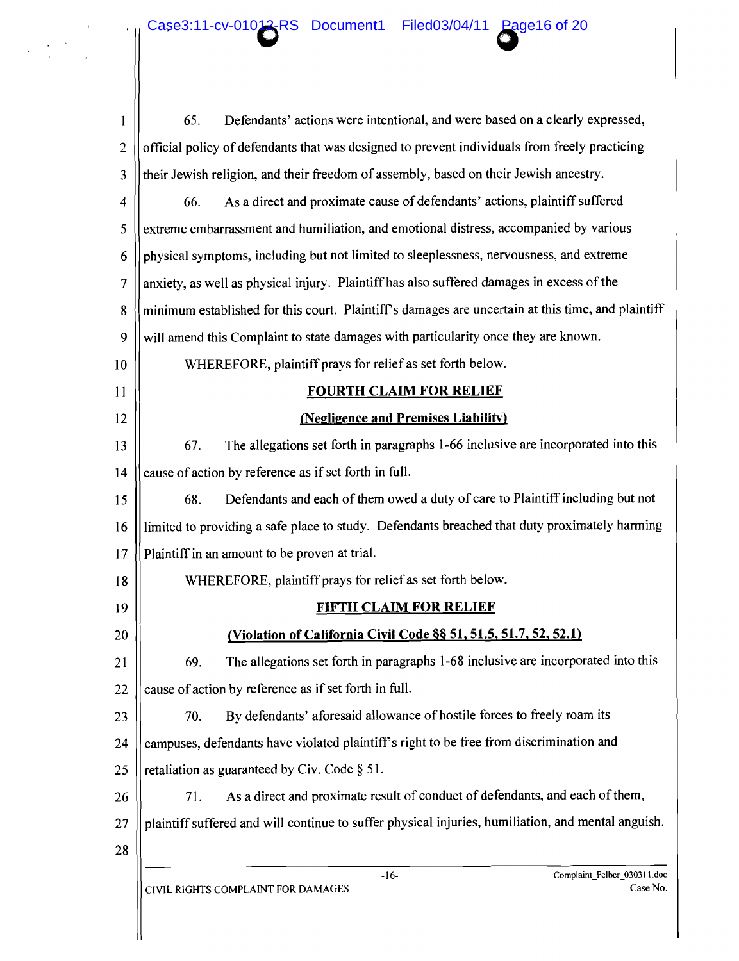



| 1              | Defendants' actions were intentional, and were based on a clearly expressed,<br>65.                |
|----------------|----------------------------------------------------------------------------------------------------|
| $\overline{2}$ | official policy of defendants that was designed to prevent individuals from freely practicing      |
| 3              | their Jewish religion, and their freedom of assembly, based on their Jewish ancestry.              |
| 4              | As a direct and proximate cause of defendants' actions, plaintiff suffered<br>66.                  |
| 5              | extreme embarrassment and humiliation, and emotional distress, accompanied by various              |
| 6              | physical symptoms, including but not limited to sleeplessness, nervousness, and extreme            |
| 7              | anxiety, as well as physical injury. Plaintiff has also suffered damages in excess of the          |
| 8              | minimum established for this court. Plaintiff's damages are uncertain at this time, and plaintiff  |
| 9              | will amend this Complaint to state damages with particularity once they are known.                 |
| 10             | WHEREFORE, plaintiff prays for relief as set forth below.                                          |
| 11             | <b>FOURTH CLAIM FOR RELIEF</b>                                                                     |
| 12             | (Negligence and Premises Liability)                                                                |
| 13             | The allegations set forth in paragraphs 1-66 inclusive are incorporated into this<br>67.           |
| 14             | cause of action by reference as if set forth in full.                                              |
| 15             | Defendants and each of them owed a duty of care to Plaintiff including but not<br>68.              |
| 16             | limited to providing a safe place to study. Defendants breached that duty proximately harming      |
| 17             | Plaintiff in an amount to be proven at trial.                                                      |
| 18             | WHEREFORE, plaintiff prays for relief as set forth below.                                          |
| 19             | <b>FIFTH CLAIM FOR RELIEF</b>                                                                      |
| 20             | (Violation of California Civil Code §§ 51, 51.5, 51.7, 52, 52.1)                                   |
| 21             | The allegations set forth in paragraphs 1-68 inclusive are incorporated into this<br>69.           |
| 22             | cause of action by reference as if set forth in full.                                              |
| 23             | By defendants' aforesaid allowance of hostile forces to freely roam its<br>70.                     |
| 24             | campuses, defendants have violated plaintiff's right to be free from discrimination and            |
| 25             | retaliation as guaranteed by Civ. Code § 51.                                                       |
| 26             | As a direct and proximate result of conduct of defendants, and each of them,<br>71.                |
| 27             | plaintiff suffered and will continue to suffer physical injuries, humiliation, and mental anguish. |
| 28             |                                                                                                    |
|                | $-16-$<br>Complaint_Felber_030311.doc<br>Case No.<br>CIVIL RIGHTS COMPLAINT FOR DAMAGES            |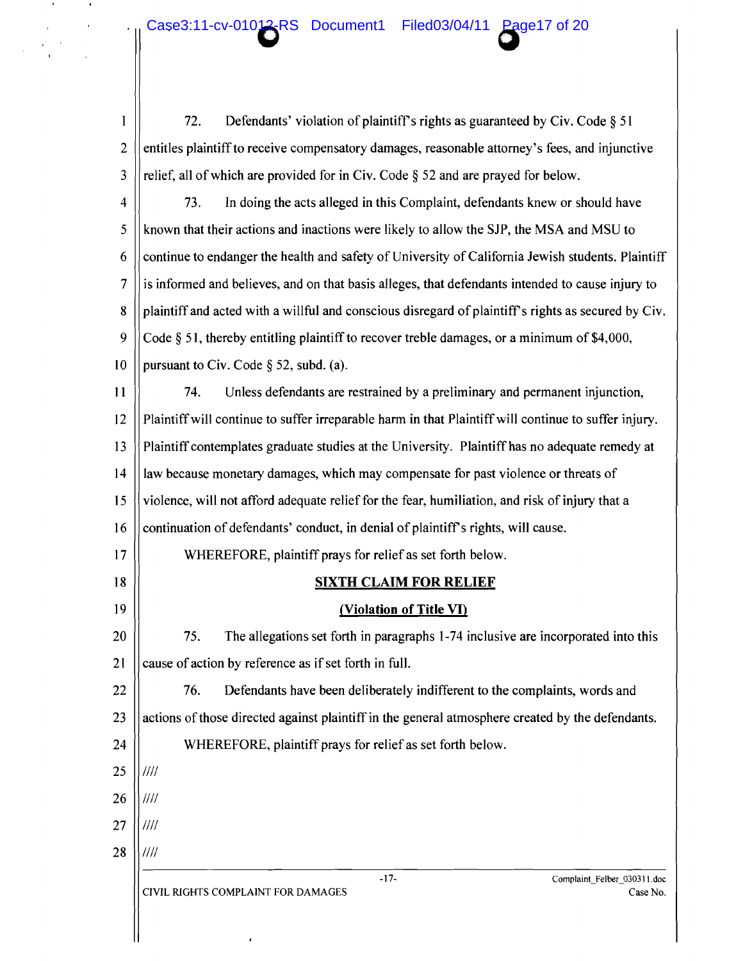$\mathbf{1}$ 72. Defendants' violation of plaintiffs rights as guaranteed by Civ. Code *5* 5 1  $\overline{2}$ entitles plaintiff to receive compensatory damages, reasonable attorney's fees, and injunctive  $\overline{3}$ relief, all of which are provided for in Civ. Code *5* 52 and are prayed for below.

 $\Delta$ 73. In doing the acts alleged in this Complaint, defendants knew or should have 5 known that their actions and inactions were likely to allow the SJP, the MSA and MSU to 6 continue to endanger the health and safety of University of California Jewish students. Plaintiff 7 is informed and believes, and on that basis alleges, that defendants intended to cause injury to 8 plaintiff and acted with a willful and conscious disregard of plaintiffs rights as secured by Civ.  $\boldsymbol{9}$ Code *5* 51, thereby entitling plaintiff to recover treble damages, or a minimum of \$4,000,  $10$ pursuant to Civ. Code *5* 52, subd. (a).

 $11$ 74. Unless defendants are restrained by a preliminary and permanent injunction,  $12$ Plaintiff will continue to suffer irreparable harm in that Plaintiff will continue to suffer injury.  $13$ Plaintiff contemplates graduate studies at the University. Plaintiff has no adequate remedy at  $14$ law because monetary damages, which may compensate for past violence or threats of violence, will not afford adequate relief for the fear, humiliation, and risk of injury that a 15 continuation of defendants' conduct, in denial of plaintiff's rights, will cause. 16

WHEREFORE, plaintiff prays for relief as set forth below.

# **SIXTH CLAIM FOR RELIEF**

# **/Violation of Title VI)**

20 75. The allegations set forth in paragraphs 1-74 inclusive are incorporated into this  $21$ cause of action by reference as if set forth in fill.

 $22$ 76. Defendants have been deliberately indifferent to the complaints, words and 23 actions of those directed against plaintiff in the general atmosphere created by the defendants. 24 WHEREFORE, plaintiff prays for relief as set forth below.

25 ////

 $17$ 

18

- 26 I///
- $27$ ////
- 28 ////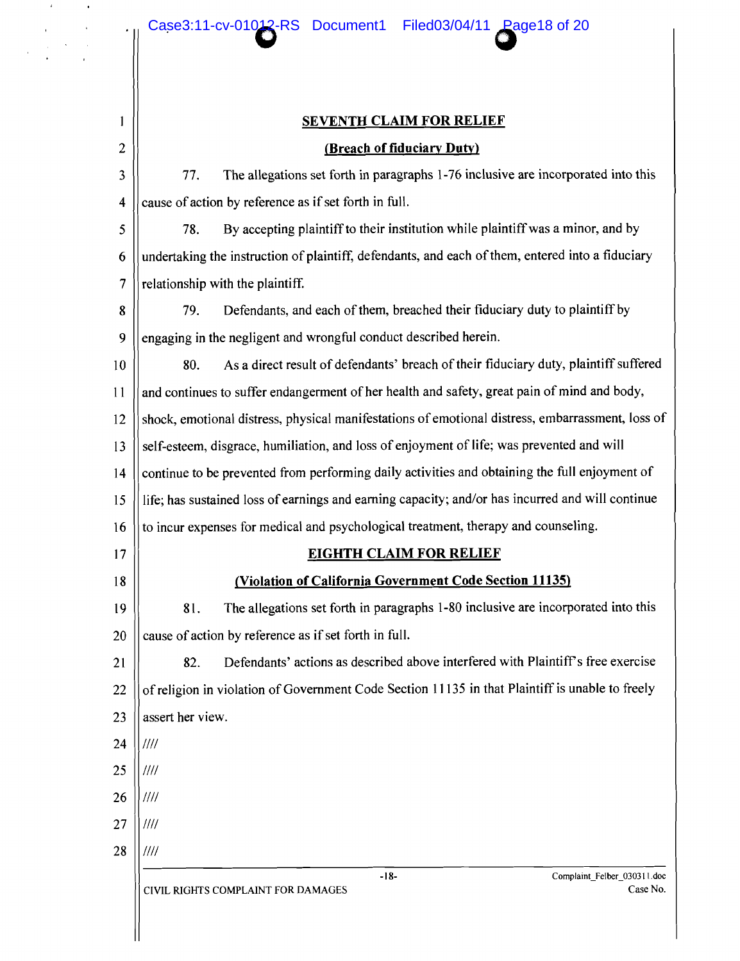

| <b>SEVENTH CLAIM FOR RELIEF</b> |  |  |
|---------------------------------|--|--|
|                                 |  |  |

## **/Breach of fiduciarv Dutv)**

77. The allegations set forth in paragraphs 1-76 inclusive are incorporated into this  $\overline{3}$ cause of action by reference as if set forth in full.  $\overline{\mathbf{4}}$ 

78. By accepting plaintiff to their institution while plaintiff was a minor, and by 5 undertaking the instruction of plaintiff, defendants, and each of them, entered into a fiduciary 6  $\overline{7}$ relationship with the plaintiff.

8 79. Defendants, and each of them, breached their fiduciary duty to plaintiff by engaging in the negligent and wrongful conduct described herein. 9

 $10$ 80. As a direct result of defendants' breach of their fiduciary duty, plaintiff suffered  $11$ and continues to suffer endangerment of her health and safety, great pain of mind and body, shock, emotional distress, physical manifestations of emotional distress, embarrassment, loss of  $12$ self-esteem, disgrace, humiliation, and loss of enjoyment of life; was prevented and will  $13$ continue to be prevented from performing daily activities and obtaining the full enjoyment of  $14$ life; has sustained loss of earnings and earning capacity; and/or has incurred and will continue 15

to incur expenses for medical and psychological treatment, therapy and counseling. 16

# **EIGHTH CLAIM FOR RELIEF**

# **/Violation of California Government Code Section 11135)**

19 8 1. The allegations set forth in paragraphs 1-80 inclusive are incorporated into this cause of action by reference as if set forth in full. 20

82. Defendants' actions as described above interfered with Plaintiff's free exercise  $21$ of religion in violation of Government Code Section 1 **1** 135 in that Plaintiff is unable to freely 22 23 assert her view.

24 I///

17

18

 $\mathbf{1}$ 

 $\overline{2}$ 

- 25  $III$
- $III$ 26
- $27$  $III$
- 28 ////

CIVIL RIGHTS COMPLAINT FOR DAMAGES CASE NO. Case No.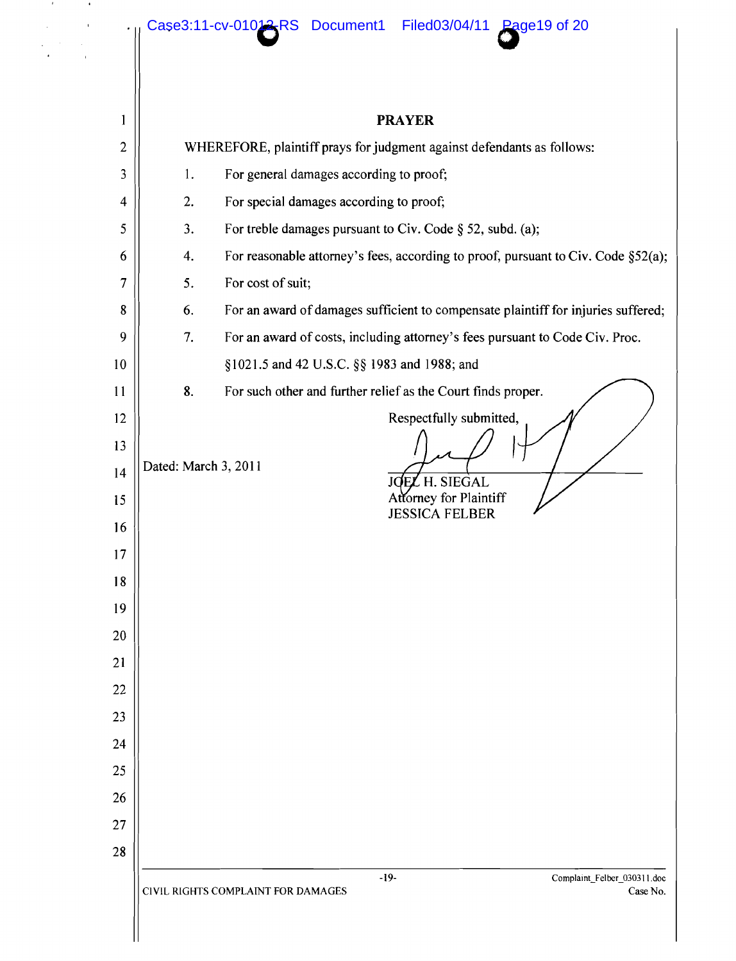| Case3:11-cv-01012-R |
|---------------------|
|---------------------|





|                | Case3:11-cv-01012-RS Document1 Filed03/04/11 Page19 of 20                               |
|----------------|-----------------------------------------------------------------------------------------|
|                |                                                                                         |
|                | <b>PRAYER</b>                                                                           |
| $\overline{2}$ | WHEREFORE, plaintiff prays for judgment against defendants as follows:                  |
| 3              | For general damages according to proof;<br>1.                                           |
| 4              | For special damages according to proof;<br>2.                                           |
| 5              | For treble damages pursuant to Civ. Code § 52, subd. (a);<br>3.                         |
| 6              | For reasonable attorney's fees, according to proof, pursuant to Civ. Code §52(a);<br>4. |
| 7              | For cost of suit;<br>5.                                                                 |
| 8              | For an award of damages sufficient to compensate plaintiff for injuries suffered;<br>6. |
| 9              | For an award of costs, including attorney's fees pursuant to Code Civ. Proc.<br>7.      |
| 10             | §1021.5 and 42 U.S.C. §§ 1983 and 1988; and                                             |
| 11             | For such other and further relief as the Court finds proper.<br>8.                      |
| 12             | Respectfully submitted,                                                                 |
| 13             |                                                                                         |
| 14             | Dated: March 3, 2011<br>Z H. SIEGAL<br><b>JOEI</b>                                      |
| 15             | Attorney for Plaintiff                                                                  |
| 16             | <b>JESSICA FELBER</b>                                                                   |
| 17             |                                                                                         |
| 18             |                                                                                         |
| 19             |                                                                                         |
| 20             |                                                                                         |
| 21             |                                                                                         |
| 22             |                                                                                         |
| 23             |                                                                                         |
| 24             |                                                                                         |
| 25             |                                                                                         |
| 26             |                                                                                         |
| 27             |                                                                                         |
| 28             |                                                                                         |
|                | $-19-$<br>Complaint_Felber_030311.doc<br>CIVIL RIGHTS COMPLAINT FOR DAMAGES<br>Case No. |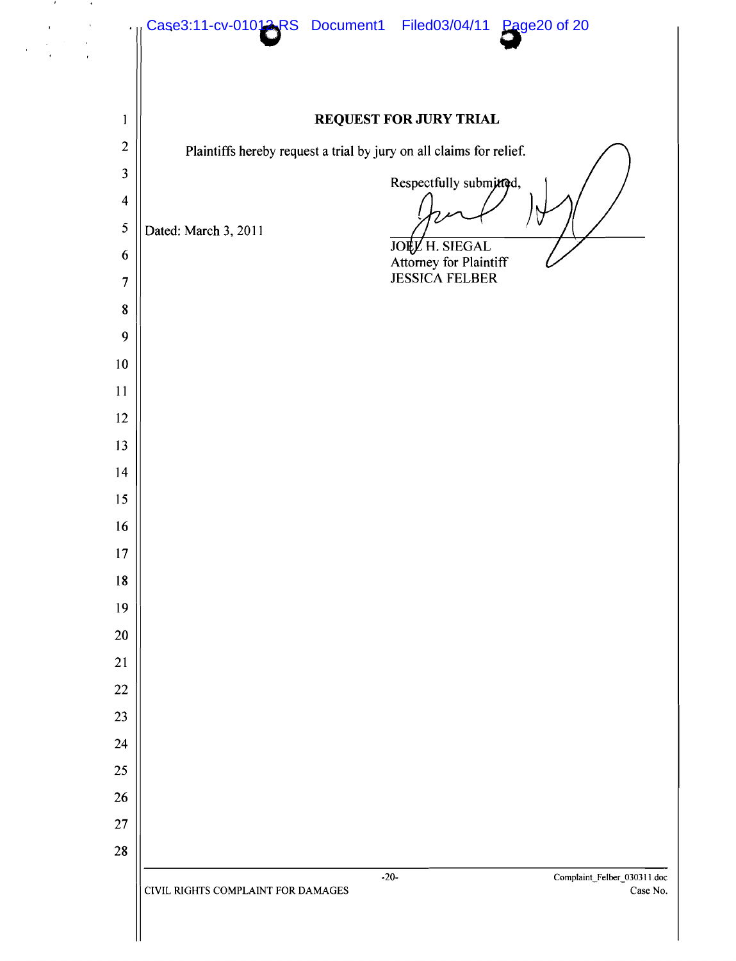|  |  | $\frac{1}{10}$ Case3:11-cv-01012 RS Document1 Filed03/04/11 Page20 of 20 |  |  |
|--|--|--------------------------------------------------------------------------|--|--|
|  |  |                                                                          |  |  |
|  |  |                                                                          |  |  |
|  |  |                                                                          |  |  |

and the control of the



| $\mathbf{1}$             |                                                                     | <b>REQUEST FOR JURY TRIAL</b>                                     |  |  |  |  |
|--------------------------|---------------------------------------------------------------------|-------------------------------------------------------------------|--|--|--|--|
| $\mathbf{2}$             | Plaintiffs hereby request a trial by jury on all claims for relief. |                                                                   |  |  |  |  |
| $\overline{\mathbf{3}}$  |                                                                     | Respectfully submitted,                                           |  |  |  |  |
| $\overline{\mathcal{A}}$ |                                                                     |                                                                   |  |  |  |  |
| 5                        | Dated: March 3, 2011                                                |                                                                   |  |  |  |  |
| 6                        |                                                                     | <b>JOEL H. SIEGAL</b><br>Attorney for Plaintiff<br>JESSICA FELBER |  |  |  |  |
| $\overline{7}$           |                                                                     |                                                                   |  |  |  |  |
| 8                        |                                                                     |                                                                   |  |  |  |  |
| 9                        |                                                                     |                                                                   |  |  |  |  |
| 10                       |                                                                     |                                                                   |  |  |  |  |
| 11<br>12                 |                                                                     |                                                                   |  |  |  |  |
| 13                       |                                                                     |                                                                   |  |  |  |  |
| 14                       |                                                                     |                                                                   |  |  |  |  |
| 15                       |                                                                     |                                                                   |  |  |  |  |
| 16                       |                                                                     |                                                                   |  |  |  |  |
| 17                       |                                                                     |                                                                   |  |  |  |  |
| 18                       |                                                                     |                                                                   |  |  |  |  |
| 19                       |                                                                     |                                                                   |  |  |  |  |
| 20                       |                                                                     |                                                                   |  |  |  |  |
| 21                       |                                                                     |                                                                   |  |  |  |  |
| 22                       |                                                                     |                                                                   |  |  |  |  |
| 23                       |                                                                     |                                                                   |  |  |  |  |
| 24                       |                                                                     |                                                                   |  |  |  |  |
| 25                       |                                                                     |                                                                   |  |  |  |  |
| 26                       |                                                                     |                                                                   |  |  |  |  |
| $27\,$<br>28             |                                                                     |                                                                   |  |  |  |  |
|                          |                                                                     | $-20-$<br>Complaint_Felber_030311.doc                             |  |  |  |  |
|                          | CIVIL RIGHTS COMPLAINT FOR DAMAGES                                  | Case No.                                                          |  |  |  |  |
|                          |                                                                     |                                                                   |  |  |  |  |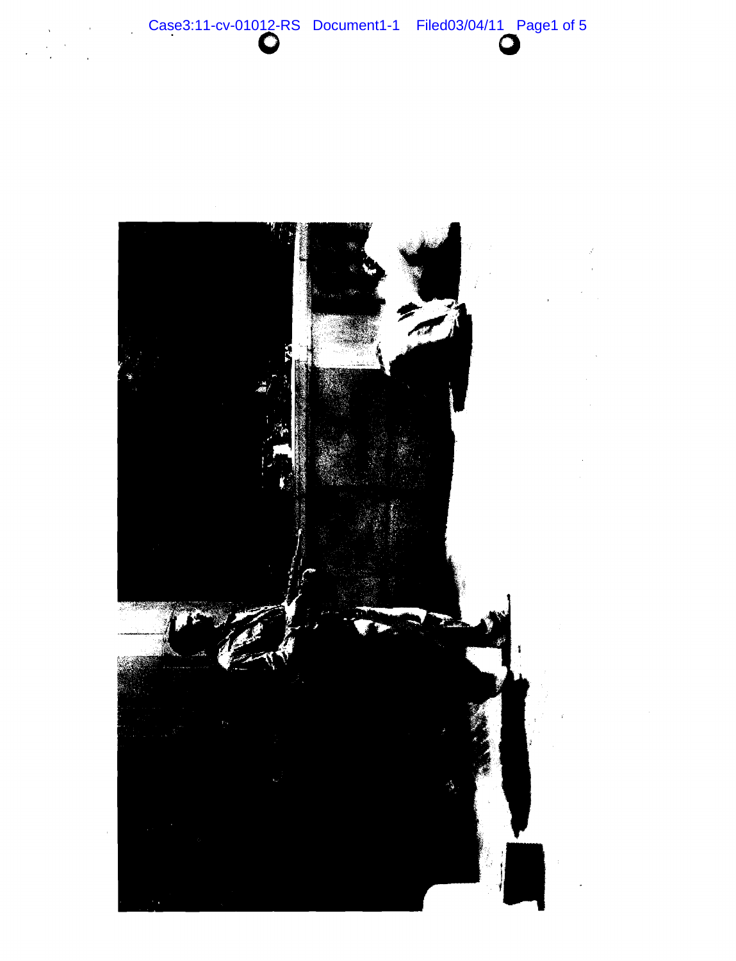$\hat{\boldsymbol{\beta}}$ 

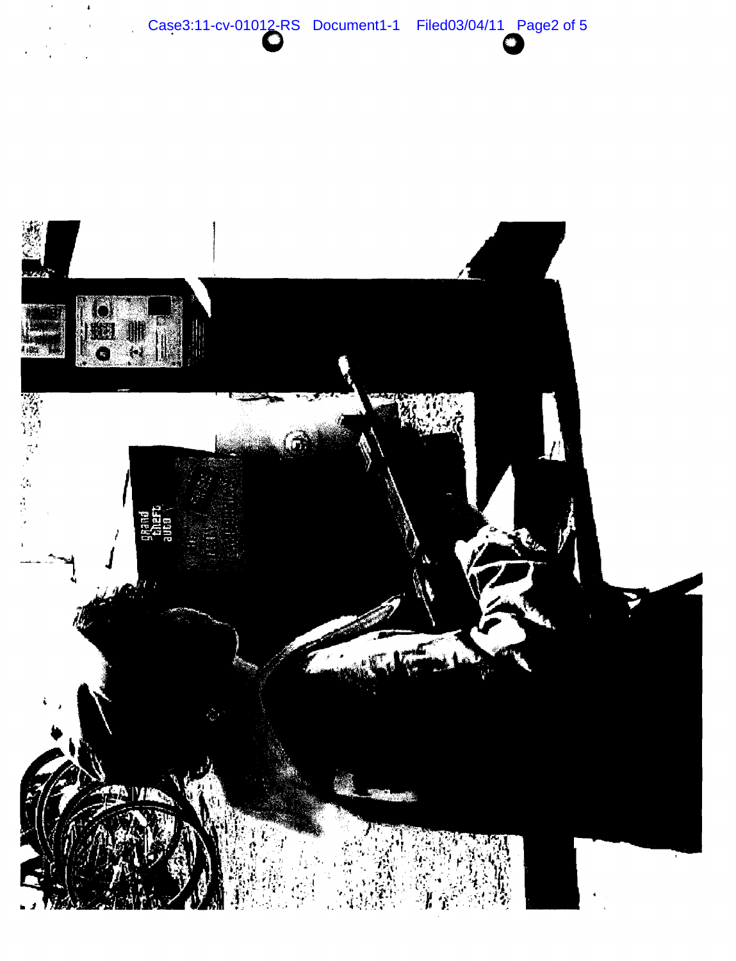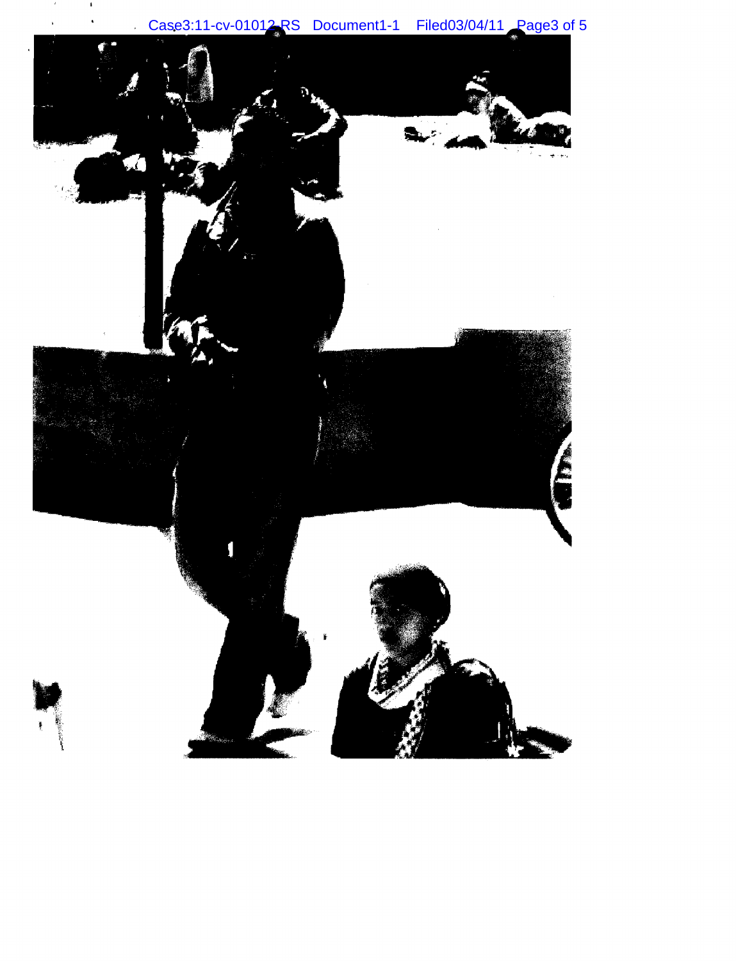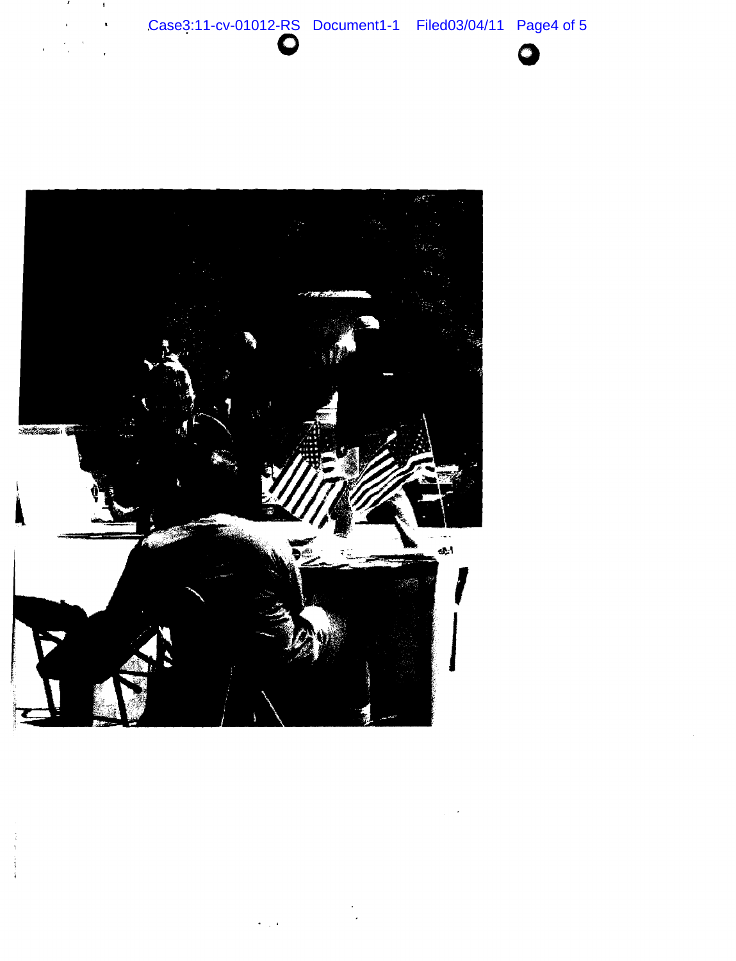



 $\sim$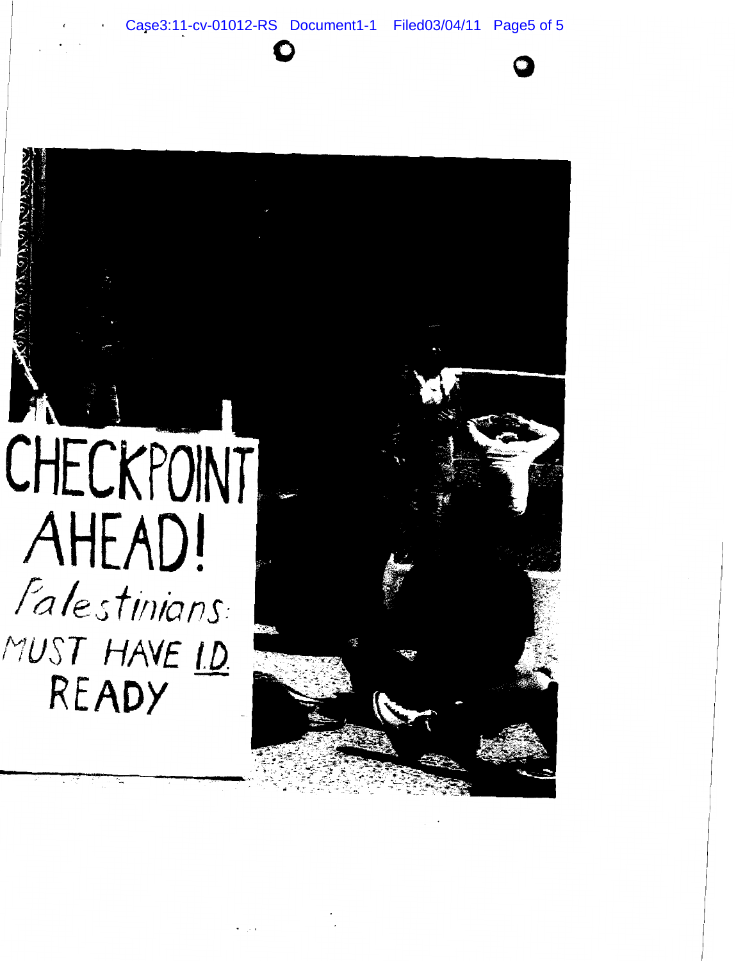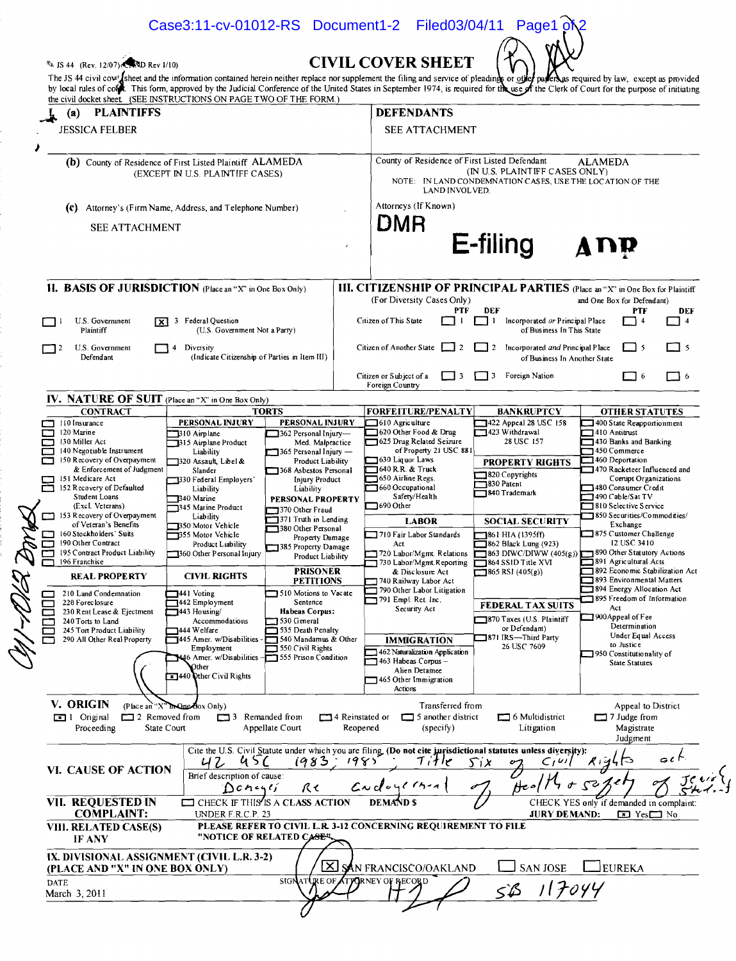Case3:11-cv-01012-RS Document1-2 Filed03/04/11 Page1

**IESSICA FELBER** *SEE ATTACHMENT*  $\overset{\text{\tiny{6b}}}{\sim}$  IS 44 (Rev. 1207) $\overset{\text{\tiny{6c}}}{\sim}$  RD Rev 1/10) **CIVIL COVER SHEET** information contained herein neither replace nor supplement the filing and service of pleadings or other parters as required by law, except as provided approved by the Judicial Conference of the United States in September 1974, is required for the use of the Clerk of Court for the purpose of initiating the civil docket sheet (SEE INSTRUCTIONS ON PAGE TWO OF THE FORM.) **DEFENDANTS DEFENDANTS J (b)** County of Residence of First Listed Plaintiff ALAMEDA (EXCEPT IN U.S. PLAINTIFF CASES) **11. BASIS OF JURISDICTION** (Place an "X" in One Box Only) ( **111. CITIZENSHIP OF PRINCIPAL PARTIES** (Place an "X" in One Box for Plaintiff County of Residence of First Listed Defendant ALAMEDA<br>(IN U.S. PLAINTIFF CASES ONLY)<br>NOTE: IN LAND CONDEMNATION CASES, USE THE LOCATION OF THE LAND INVOLVED. (c) Attorney's (Firm Name, Address, and Telephone Number) SEE ATTACHMENT Attorneys (If Known) **DMR**  E-filing **Anp** 

| II. BASIS OF JURISDICTION (Place an "X" in One Box Only) |                                                                          |                                                 |          | (For Diversity Cases Only)                                                                                      |                                                                                    | III. CITIZENSHIP OF PRINCIPAL PARTIES (Place an "X" in One Box for Plaintiff<br>and One Box for Defendant) |
|----------------------------------------------------------|--------------------------------------------------------------------------|-------------------------------------------------|----------|-----------------------------------------------------------------------------------------------------------------|------------------------------------------------------------------------------------|------------------------------------------------------------------------------------------------------------|
| U.S. Government<br>Plaintiff                             | $\boxed{\mathbf{X}}$ 3 Federal Question<br>(U.S. Government Not a Party) |                                                 |          | PTF<br>Citizen of This State                                                                                    | DEF<br>Incorporated or Principal Place<br>l 11<br>of Business In This State        | PTF<br>DEF<br>$\neg$ 4<br>$\overline{4}$                                                                   |
| U.S. Government<br>Defendant                             | 4 Diversity<br>(Indicate Citizenship of Parties in Item III)             |                                                 |          | Citizen of Another State [12] 2                                                                                 | Incorporated and Principal Place<br>$\overline{2}$<br>of Business In Another State | $\Box$ 5<br>$\Box$ 5                                                                                       |
|                                                          |                                                                          |                                                 |          | Citizen or Subject of a<br>. 13<br>Foreign Country                                                              | Foreign Nation<br>$\overline{1}3$                                                  | $\Box$ 6<br>$\Box$ 6                                                                                       |
| IV. NATURE OF SUIT (Place an "X" in One Box Only)        |                                                                          |                                                 |          |                                                                                                                 |                                                                                    |                                                                                                            |
| <b>CONTRACT</b>                                          |                                                                          | <b>TORTS</b>                                    |          | <b>FORFEITURE/PENALTY</b>                                                                                       | <b>BANKRUPTCY</b>                                                                  | <b>OTHER STATUTES</b>                                                                                      |
| 110 Insurance<br>□<br>120 Marine<br>□                    | PERSONAL INJURY                                                          | PERSONAL INJURY                                 |          | $\Box$ 610 Agriculture<br>620 Other Food & Drug                                                                 | 1422 Appeal 28 USC 158<br>1423 Withdrawal                                          | $\Box$ 400 State Reapportionment<br>$\Box$ 410 Antitrust                                                   |
| 130 Miller Act                                           | 310 Airplane<br>1315 Airplane Product                                    | $\Box$ 362 Personal Injury—<br>Med. Malpractice |          | 5025 Drug Related Seizure                                                                                       | 28 USC 157                                                                         | 430 Banks and Banking                                                                                      |
| 140 Negotiable Instrument<br>$\Box$                      | Liability                                                                | $\Box$ 365 Personal Injury —                    |          | of Property 21 USC 881                                                                                          |                                                                                    | $\Box$ 450 Commerce                                                                                        |
| 150 Recovery of Overpayment                              | □320 Assault, Libel &                                                    | Product Liability                               |          | 1630 Liquor Laws                                                                                                | <b>PROPERTY RIGHTS</b>                                                             | $\Box$ 460 Deportation                                                                                     |
| & Enforcement of Judgment<br>151 Medicare Act            | Slander<br>_330 Federal Employers'                                       | 368 Asbestos Personal<br><b>Injury Product</b>  |          | 1640 R.R. & Truck<br>50 Airline Regs.                                                                           | 820 Copyrights                                                                     | 470 Racketeer Influenced and<br>Corrupt Organizations                                                      |
| 152 Recovery of Defaulted                                | Liability                                                                | Liability                                       |          | 660 Occupational                                                                                                | 830 Patent<br>840 Trademark                                                        | 480 Consumer Credit                                                                                        |
| Student Loans                                            | 340 Marine                                                               | PERSONAL PROPERTY                               |          | Safety/Health                                                                                                   |                                                                                    | $\Box$ 490 Cable/Sat TV                                                                                    |
| (Excl. Veterans)<br>153 Recovery of Overpayment          | 345 Marine Product<br>Liability                                          | 1370 Other Fraud                                |          | □690 Other                                                                                                      |                                                                                    | 810 Selective Service<br>850 Securities/Commodities/                                                       |
| of Veteran's Benefits                                    | 350 Motor Vehicle                                                        | 371 Truth in Lending<br>380 Other Personal      |          | <b>LABOR</b>                                                                                                    | <b>SOCIAL SECURITY</b>                                                             | Exchange                                                                                                   |
| 160 Stockholders' Suits                                  | 7355 Motor Vehicle                                                       | Property Damage                                 |          | 710 Fair Labor Standards                                                                                        | 1861 HIA (1395ff)                                                                  | 875 Customer Challenge                                                                                     |
| 190 Other Contract<br>195 Contract Product Liability     | Product Liability<br>360 Other Personal Injury                           | 385 Property Damage                             |          | Act<br>720 Labor/Mgmt. Relations                                                                                | <b>362 Black Lung (923)</b><br>$\Box$ 863 DIWC/DIWW (405(g))                       | 12 USC 3410<br>890 Other Statutory Actions                                                                 |
| 196 Franchise                                            |                                                                          | Product Liability                               |          | 730 Labor/Mgmt.Reporting                                                                                        | 864 SSID Title XVI                                                                 | 891 Agricultural Acts                                                                                      |
| <b>REAL PROPERTY</b>                                     | <b>CIVIL RIGHTS</b>                                                      | <b>PRISONER</b>                                 |          | & Disclosure Act                                                                                                | $\Box$ 865 RSI (405(g))                                                            | 892 Economic Stabilization Act                                                                             |
|                                                          |                                                                          | <b>PETITIONS</b>                                |          | 740 Railway Labor Act<br>790 Other Labor Litigation                                                             |                                                                                    | 893 Environmental Matters<br>394 Energy Allocation Act                                                     |
| 210 Land Condemnation<br>220 Foreclosure                 | 1441 Voting<br>$1442$ Employment                                         | 510 Motions to Vacate<br>Sentence               |          | $\Box$ 791 Empl. Ret. Inc.                                                                                      |                                                                                    | 895 Freedom of Information                                                                                 |
| 230 Rent Lease & Ejectment                               | 443 Housing                                                              | Habeas Corpus:                                  |          | Security Act                                                                                                    | <b>FEDERAL TAX SUITS</b>                                                           | Act                                                                                                        |
| 240 Torts to Land                                        | Accommodations                                                           | $\Box$ 530 General                              |          |                                                                                                                 | 1870 Taxes (U.S. Plaintiff                                                         | 900 Appeal of Fee<br>Determination                                                                         |
| 245 Tort Product Liability                               | ├─1444 Welfare<br>445 Amer. w/Disabilities - 540 Mandamus & Other        | 535 Death Penalty                               |          |                                                                                                                 | or Defendant)<br>371 IRS-Third Party                                               | Under Equal Access                                                                                         |
| 290 All Other Real Property                              | Employment                                                               | $\Box$ 550 Civil Rights                         |          | <b>IMMIGRATION</b><br>462 Naturalization Application                                                            | 26 USC 7609                                                                        | to Justice                                                                                                 |
|                                                          | 46 Amer. w/Disabilities - 555 Prison Condition                           |                                                 |          | 463 Habeas Corpus –                                                                                             |                                                                                    | 950 Constitutionality of<br><b>State Statutes</b>                                                          |
|                                                          | <b>Other</b><br>31440 Other Civil Rights                                 |                                                 |          | Alien Detaince                                                                                                  |                                                                                    |                                                                                                            |
|                                                          |                                                                          |                                                 |          | 1465 Other Immigration<br>Actions                                                                               |                                                                                    |                                                                                                            |
|                                                          |                                                                          |                                                 |          |                                                                                                                 |                                                                                    |                                                                                                            |
| V. ORIGIN                                                | (Place an "X"In One Box Only)                                            |                                                 |          | Transferred from                                                                                                |                                                                                    | Appeal to District                                                                                         |
| $\boxed{2}$ 1 Original<br>2 Removed from                 | 13 Remanded from                                                         |                                                 |          | $\Box$ 4 Reinstated or $\Box$ 5 another district                                                                | $\Box$ 6 Multidistrict                                                             | $\Box$ 7 Judge from                                                                                        |
| Proceeding<br>State Court                                |                                                                          | Appellate Court                                 | Reopened | (specify)                                                                                                       | Littgation                                                                         | Magistrate<br>Judgment                                                                                     |
|                                                          |                                                                          |                                                 |          | Cite the U.S. Civil Statute under which you are filing. (Do not cite jurisdictional statutes unless diversity): |                                                                                    |                                                                                                            |
|                                                          | 42 456                                                                   | 1983                                            | 1985     | エッナノー                                                                                                           | $C_I$ UI.<br>$\sum x$                                                              | at<br>スロムに                                                                                                 |
| <b>VI. CAUSE OF ACTION</b>                               | Brief description of cause:                                              |                                                 |          |                                                                                                                 |                                                                                    |                                                                                                            |
|                                                          | Donogli                                                                  | R <sub>1</sub>                                  |          | $c$ <i>w</i> $d$ <i>o</i> $4$ $c$ $4$                                                                           | Heal                                                                               |                                                                                                            |
|                                                          |                                                                          |                                                 |          |                                                                                                                 |                                                                                    |                                                                                                            |
| VII. REQUESTED IN<br><b>COMPLAINT:</b>                   | $\Box$ CHECK IF THIS' IS A CLASS ACTION<br>UNDER F.R.C.P. 23             |                                                 |          | <b>DEMANDS</b>                                                                                                  | <b>JURY DEMAND:</b>                                                                | CHECK YES only if demanded in complaint:                                                                   |
|                                                          |                                                                          |                                                 |          | PLEASE REFER TO CIVIL L.R. 3-12 CONCERNING REQUIREMENT TO FILE                                                  |                                                                                    | $\Box$ Yes $\Box$ No                                                                                       |
| <b>VIII. RELATED CASE(S)</b><br>IF ANY                   |                                                                          | "NOTICE OF RELATED CA <del>SE"</del> ,          |          |                                                                                                                 |                                                                                    |                                                                                                            |
| IX. DIVISIONAL ASSIGNMENT (CIVIL L.R. 3-2)               |                                                                          |                                                 |          |                                                                                                                 |                                                                                    |                                                                                                            |
| (PLACE AND "X" IN ONE BOX ONLY)                          |                                                                          |                                                 |          | X SAN FRANCISCO/OAKLAND                                                                                         | <b>SAN JOSE</b>                                                                    | EUREKA                                                                                                     |
| <b>DATE</b>                                              |                                                                          |                                                 |          | SIGNATURE OF ATTORNEY OF RECORD                                                                                 |                                                                                    |                                                                                                            |
| March 3, 2011                                            |                                                                          |                                                 |          |                                                                                                                 | $5B$ 117044                                                                        |                                                                                                            |
|                                                          |                                                                          |                                                 |          |                                                                                                                 |                                                                                    |                                                                                                            |